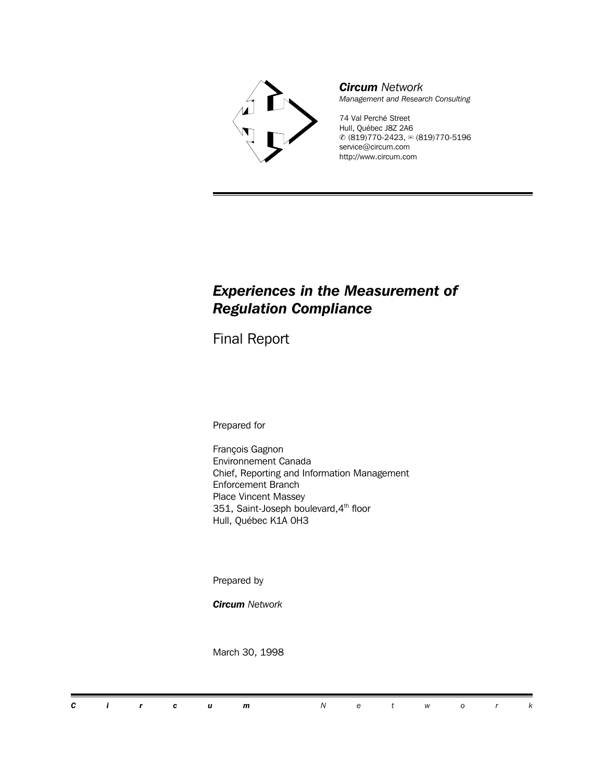

*Circum Network Management and Research Consulting*

74 Val Perché Street Hull, Québec J8Z 2A6  $\textcircled{c}$  (819)770-2423,  $\textcircled{c}$  (819)770-5196 service@circum.com http://www.circum.com

## *Experiences in the Measurement of Regulation Compliance*

Final Report

Prepared for

François Gagnon Environnement Canada Chief, Reporting and Information Management Enforcement Branch Place Vincent Massey 351, Saint-Joseph boulevard, 4<sup>th</sup> floor Hull, Québec K1A 0H3

Prepared by

*Circum Network*

March 30, 1998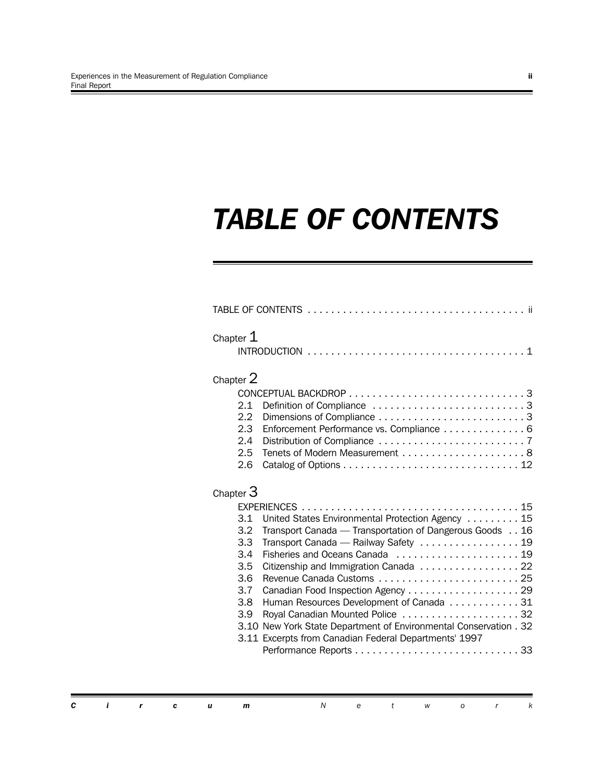# *TABLE OF CONTENTS*

| Chapter $1$                                                                             |                                                                                                                                                                                                                                                                                                                                                                                                             |
|-----------------------------------------------------------------------------------------|-------------------------------------------------------------------------------------------------------------------------------------------------------------------------------------------------------------------------------------------------------------------------------------------------------------------------------------------------------------------------------------------------------------|
| Chapter 2<br>2.1<br>2.2<br>2.3<br>2.4<br>2.5<br>2.6                                     | Definition of Compliance 3<br>Enforcement Performance vs. Compliance 6                                                                                                                                                                                                                                                                                                                                      |
| Chapter $3$<br>3.1<br>3.2 <sub>2</sub><br>3.3<br>3.4<br>3.5<br>3.6<br>3.7<br>3.8<br>3.9 | United States Environmental Protection Agency 15<br>Transport Canada - Transportation of Dangerous Goods 16<br>Transport Canada - Railway Safety  19<br>Citizenship and Immigration Canada 22<br>Human Resources Development of Canada 31<br>Royal Canadian Mounted Police 32<br>3.10 New York State Department of Environmental Conservation . 32<br>3.11 Excerpts from Canadian Federal Departments' 1997 |

*Circum Networ k*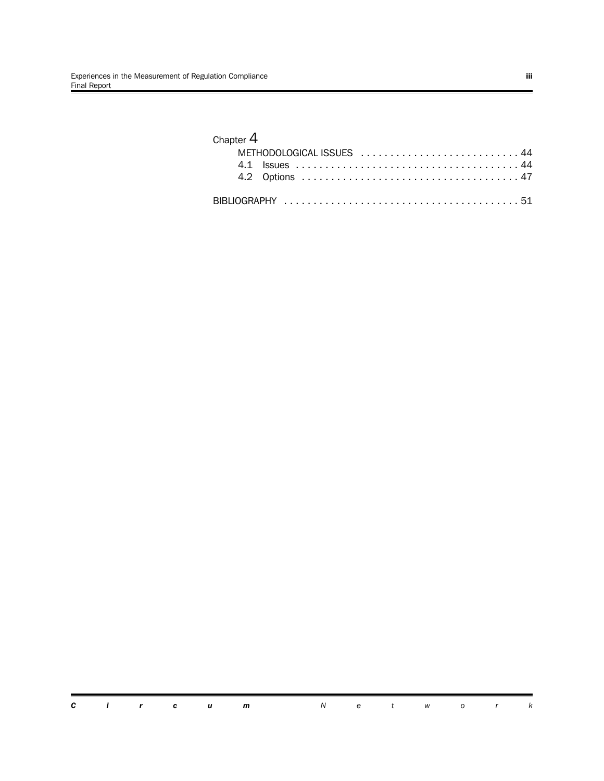## Chapter 4

| METHODOLOGICAL ISSUES  44 |  |
|---------------------------|--|
|                           |  |
|                           |  |
|                           |  |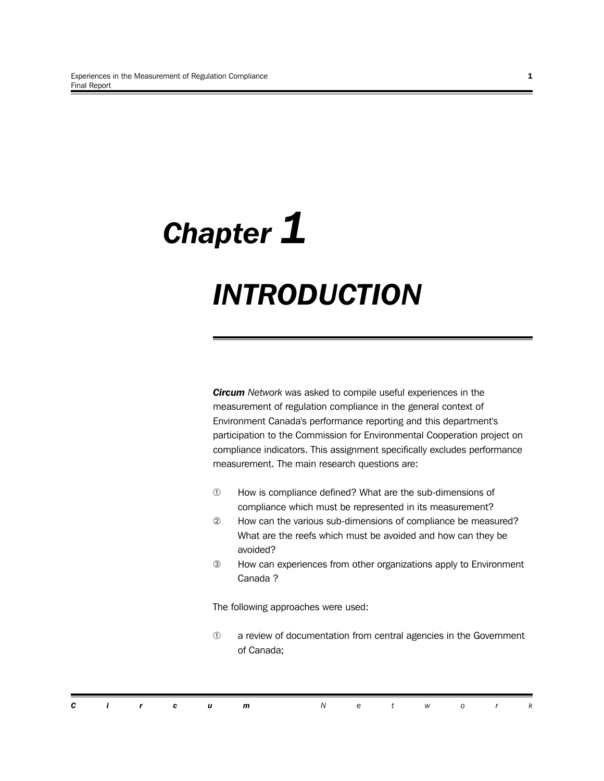# *Chapter 1 INTRODUCTION*

*Circum Network* was asked to compile useful experiences in the measurement of regulation compliance in the general context of Environment Canada's performance reporting and this department's participation to the Commission for Environmental Cooperation project on compliance indicators. This assignment specifically excludes performance measurement. The main research questions are:

- $\mathbb O$  How is compliance defined? What are the sub-dimensions of compliance which must be represented in its measurement?
- $@$  How can the various sub-dimensions of compliance be measured? What are the reefs which must be avoided and how can they be avoided?
- ‰ How can experiences from other organizations apply to Environment Canada ?

The following approaches were used:

 $<sup>1</sup>$  a review of documentation from central agencies in the Government</sup> of Canada;

|  |  | <b>Circum</b> Network |  |  |  |  |
|--|--|-----------------------|--|--|--|--|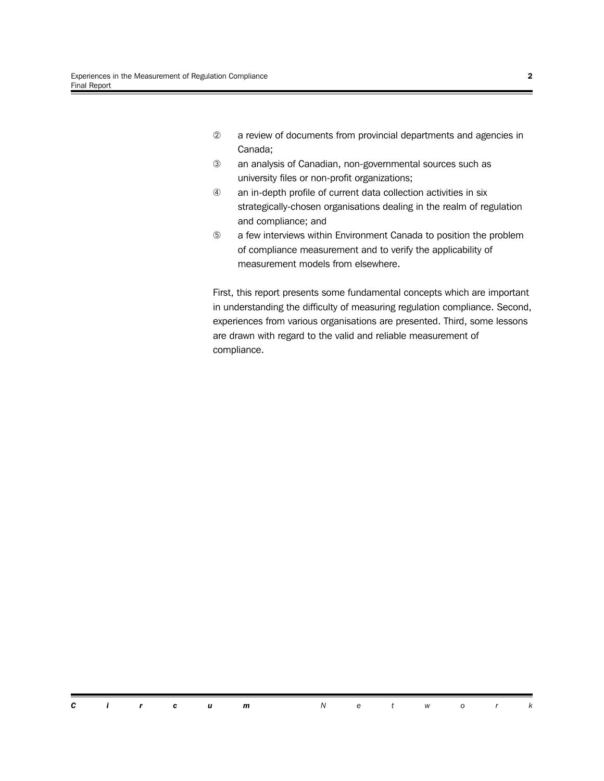- 2 a review of documents from provincial departments and agencies in Canada;
- ‰ an analysis of Canadian, non-governmental sources such as university files or non-profit organizations;
- Â an in-depth profile of current data collection activities in six strategically-chosen organisations dealing in the realm of regulation and compliance; and
- **E** a few interviews within Environment Canada to position the problem of compliance measurement and to verify the applicability of measurement models from elsewhere.

First, this report presents some fundamental concepts which are important in understanding the difficulty of measuring regulation compliance. Second, experiences from various organisations are presented. Third, some lessons are drawn with regard to the valid and reliable measurement of compliance.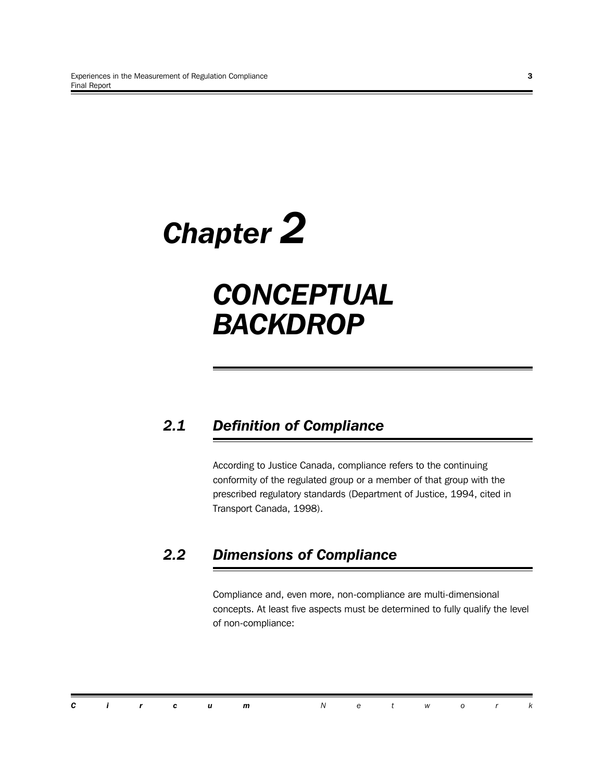# *Chapter 2*

## *CONCEPTUAL BACKDROP*

## *2.1 Definition of Compliance*

According to Justice Canada, compliance refers to the continuing conformity of the regulated group or a member of that group with the prescribed regulatory standards (Department of Justice, 1994, cited in Transport Canada, 1998).

## *2.2 Dimensions of Compliance*

Compliance and, even more, non-compliance are multi-dimensional concepts. At least five aspects must be determined to fully qualify the level of non-compliance:

|  |  | <b>Circum</b> Network |  |  |  |  |
|--|--|-----------------------|--|--|--|--|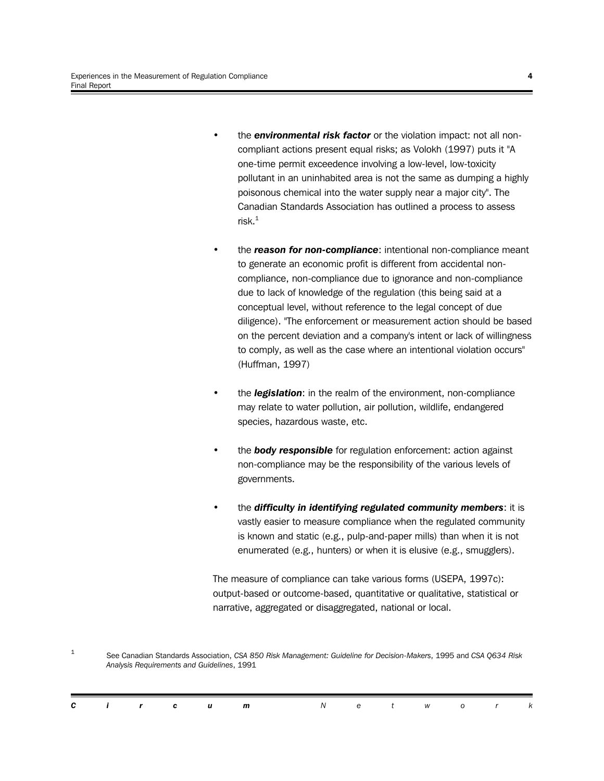- the *environmental risk factor* or the violation impact: not all noncompliant actions present equal risks; as Volokh (1997) puts it "A one-time permit exceedence involving a low-level, low-toxicity pollutant in an uninhabited area is not the same as dumping a highly poisonous chemical into the water supply near a major city". The Canadian Standards Association has outlined a process to assess  $risk<sup>1</sup>$
- the *reason for non-compliance*: intentional non-compliance meant to generate an economic profit is different from accidental noncompliance, non-compliance due to ignorance and non-compliance due to lack of knowledge of the regulation (this being said at a conceptual level, without reference to the legal concept of due diligence). "The enforcement or measurement action should be based on the percent deviation and a company's intent or lack of willingness to comply, as well as the case where an intentional violation occurs" (Huffman, 1997)
- the *legislation*: in the realm of the environment, non-compliance may relate to water pollution, air pollution, wildlife, endangered species, hazardous waste, etc.
- the *body responsible* for regulation enforcement: action against non-compliance may be the responsibility of the various levels of governments.
- the *difficulty in identifying regulated community members*: it is vastly easier to measure compliance when the regulated community is known and static (e.g., pulp-and-paper mills) than when it is not enumerated (e.g., hunters) or when it is elusive (e.g., smugglers).

The measure of compliance can take various forms (USEPA, 1997c): output-based or outcome-based, quantitative or qualitative, statistical or narrative, aggregated or disaggregated, national or local.

1 See Canadian Standards Association, *CSA 850 Risk Management: Guideline for Decision-Makers*, 1995 and *CSA Q634 Risk Analysis Requirements and Guidelines*, 1991

|  |  | <b>Circum</b> Network |  |  |  |  |
|--|--|-----------------------|--|--|--|--|
|  |  |                       |  |  |  |  |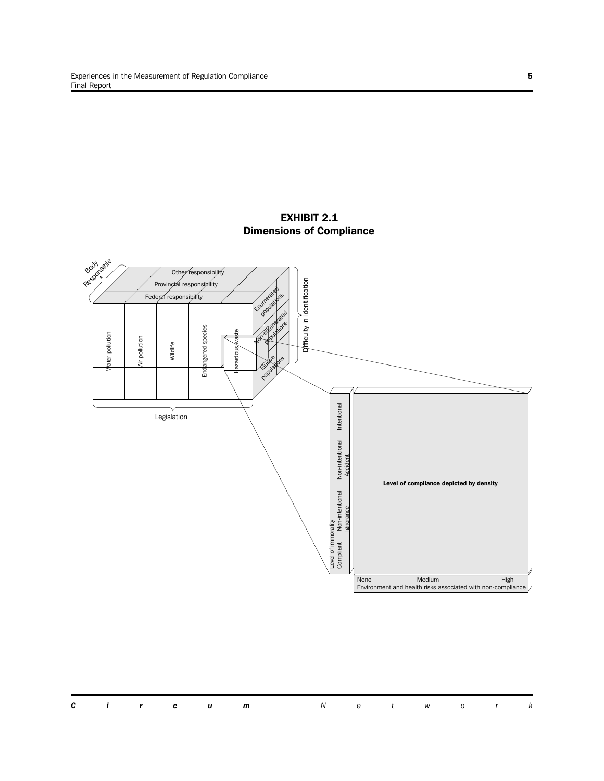

#### **EXHIBIT 2.1 Dimensions of Compliance**

|  |  |  | <b>Circum</b> Network |  |  |  |  |
|--|--|--|-----------------------|--|--|--|--|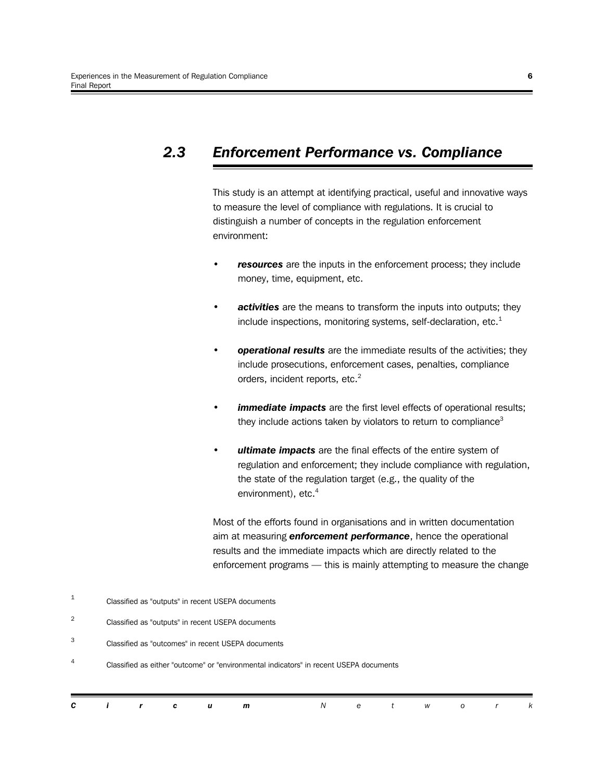## *2.3 Enforcement Performance vs. Compliance*

This study is an attempt at identifying practical, useful and innovative ways to measure the level of compliance with regulations. It is crucial to distinguish a number of concepts in the regulation enforcement environment:

- *resources* are the inputs in the enforcement process; they include money, time, equipment, etc.
- *activities* are the means to transform the inputs into outputs; they include inspections, monitoring systems, self-declaration, etc. $<sup>1</sup>$ </sup>
- *operational results* are the immediate results of the activities; they include prosecutions, enforcement cases, penalties, compliance orders, incident reports, etc.<sup>2</sup>
- **immediate impacts** are the first level effects of operational results; they include actions taken by violators to return to compliance<sup>3</sup>
- *ultimate impacts* are the final effects of the entire system of regulation and enforcement; they include compliance with regulation, the state of the regulation target (e.g., the quality of the environment), etc.<sup>4</sup>

Most of the efforts found in organisations and in written documentation aim at measuring *enforcement performance*, hence the operational results and the immediate impacts which are directly related to the enforcement programs — this is mainly attempting to measure the change

1 Classified as "outputs" in recent USEPA documents

2 Classified as "outputs" in recent USEPA documents

3 Classified as "outcomes" in recent USEPA documents

4 Classified as either "outcome" or "environmental indicators" in recent USEPA documents

| C.<br>$\mathbf{i}$ $\mathbf{r}$ $\mathbf{c}$<br>$A = \begin{pmatrix} 1 & 1 & 1 \\ 1 & 1 & 1 \\ 1 & 1 & 1 \end{pmatrix}$<br>m |  |
|------------------------------------------------------------------------------------------------------------------------------|--|
|------------------------------------------------------------------------------------------------------------------------------|--|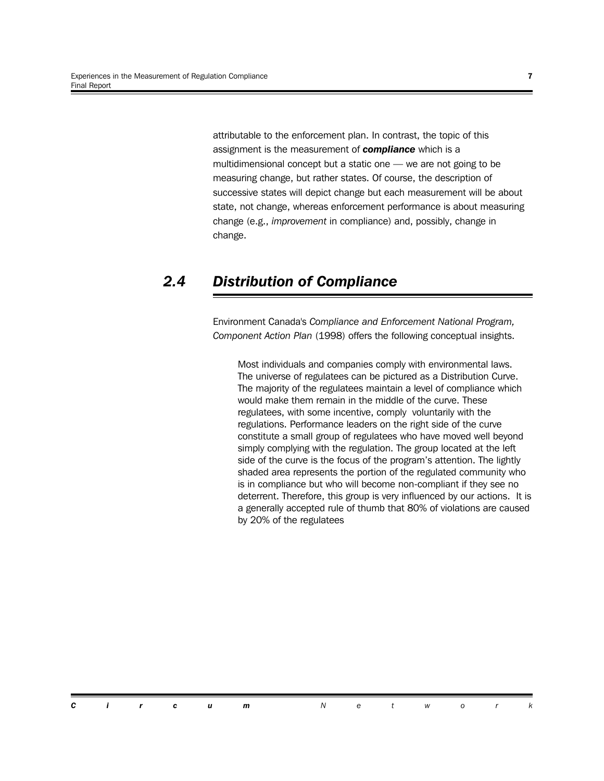attributable to the enforcement plan. In contrast, the topic of this assignment is the measurement of *compliance* which is a multidimensional concept but a static one — we are not going to be measuring change, but rather states. Of course, the description of successive states will depict change but each measurement will be about state, not change, whereas enforcement performance is about measuring change (e.g., *improvement* in compliance) and, possibly, change in change.

## *2.4 Distribution of Compliance*

Environment Canada's *Compliance and Enforcement National Program, Component Action Plan* (1998) offers the following conceptual insights.

Most individuals and companies comply with environmental laws. The universe of regulatees can be pictured as a Distribution Curve. The majority of the regulatees maintain a level of compliance which would make them remain in the middle of the curve. These regulatees, with some incentive, comply voluntarily with the regulations. Performance leaders on the right side of the curve constitute a small group of regulatees who have moved well beyond simply complying with the regulation. The group located at the left side of the curve is the focus of the program's attention. The lightly shaded area represents the portion of the regulated community who is in compliance but who will become non-compliant if they see no deterrent. Therefore, this group is very influenced by our actions. It is a generally accepted rule of thumb that 80% of violations are caused by 20% of the regulatees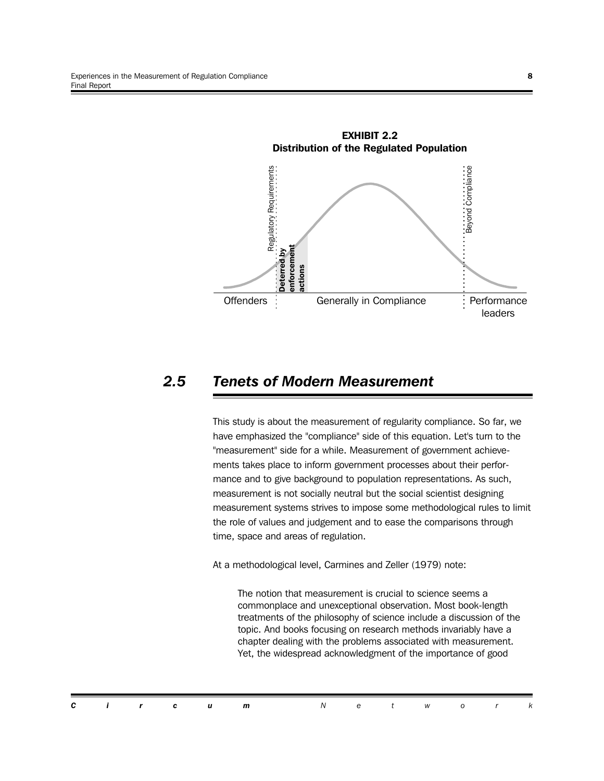

### *2.5 Tenets of Modern Measurement*

This study is about the measurement of regularity compliance. So far, we have emphasized the "compliance" side of this equation. Let's turn to the "measurement" side for a while. Measurement of government achievements takes place to inform government processes about their performance and to give background to population representations. As such, measurement is not socially neutral but the social scientist designing measurement systems strives to impose some methodological rules to limit the role of values and judgement and to ease the comparisons through time, space and areas of regulation.

At a methodological level, Carmines and Zeller (1979) note:

The notion that measurement is crucial to science seems a commonplace and unexceptional observation. Most book-length treatments of the philosophy of science include a discussion of the topic. And books focusing on research methods invariably have a chapter dealing with the problems associated with measurement. Yet, the widespread acknowledgment of the importance of good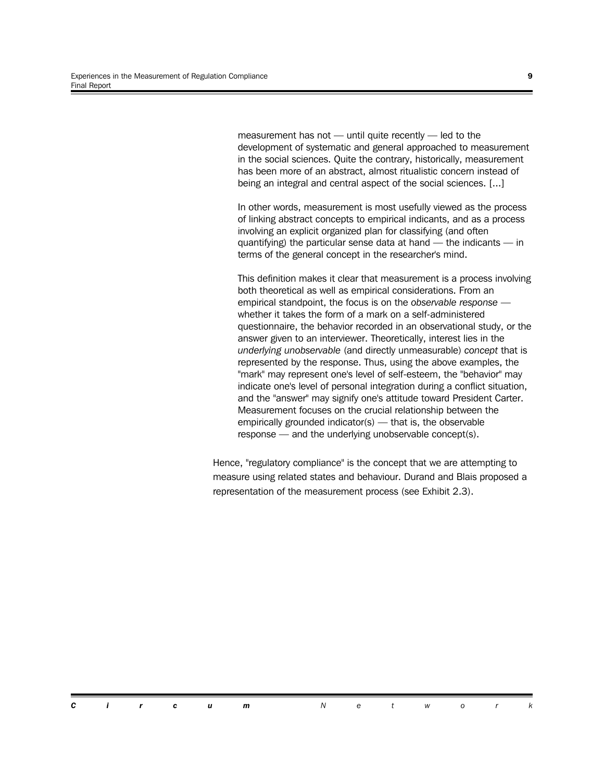measurement has not — until quite recently — led to the development of systematic and general approached to measurement in the social sciences. Quite the contrary, historically, measurement has been more of an abstract, almost ritualistic concern instead of being an integral and central aspect of the social sciences. [...]

In other words, measurement is most usefully viewed as the process of linking abstract concepts to empirical indicants, and as a process involving an explicit organized plan for classifying (and often quantifying) the particular sense data at hand — the indicants — in terms of the general concept in the researcher's mind.

This definition makes it clear that measurement is a process involving both theoretical as well as empirical considerations. From an empirical standpoint, the focus is on the *observable response* whether it takes the form of a mark on a self-administered questionnaire, the behavior recorded in an observational study, or the answer given to an interviewer. Theoretically, interest lies in the *underlying unobservable* (and directly unmeasurable) *concept* that is represented by the response. Thus, using the above examples, the "mark" may represent one's level of self-esteem, the "behavior" may indicate one's level of personal integration during a conflict situation, and the "answer" may signify one's attitude toward President Carter. Measurement focuses on the crucial relationship between the empirically grounded indicator(s) — that is, the observable response — and the underlying unobservable concept(s).

Hence, "regulatory compliance" is the concept that we are attempting to measure using related states and behaviour. Durand and Blais proposed a representation of the measurement process (see Exhibit 2.3).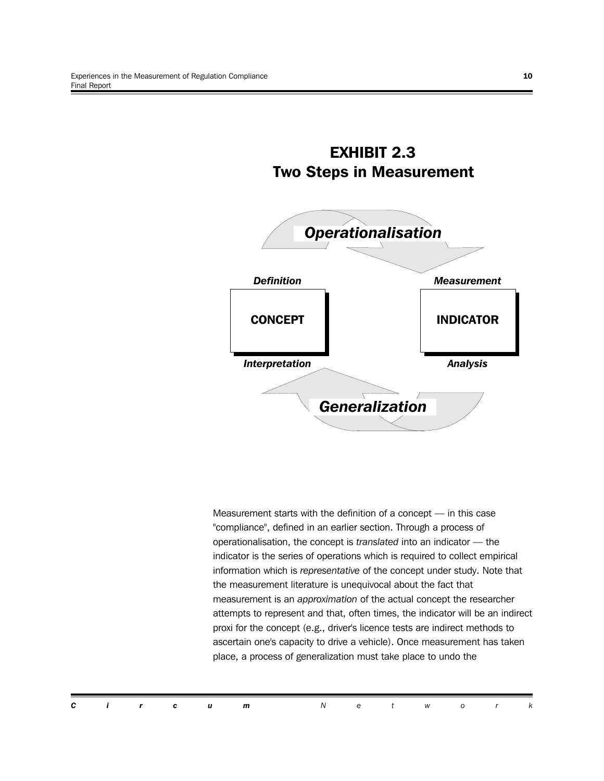

**EXHIBIT 2.3**

Measurement starts with the definition of a concept — in this case "compliance", defined in an earlier section. Through a process of operationalisation, the concept is *translated* into an indicator — the indicator is the series of operations which is required to collect empirical information which is *representative* of the concept under study. Note that the measurement literature is unequivocal about the fact that measurement is an *approximation* of the actual concept the researcher attempts to represent and that, often times, the indicator will be an indirect proxi for the concept (e.g., driver's licence tests are indirect methods to ascertain one's capacity to drive a vehicle). Once measurement has taken place, a process of generalization must take place to undo the

*Circum Networ k*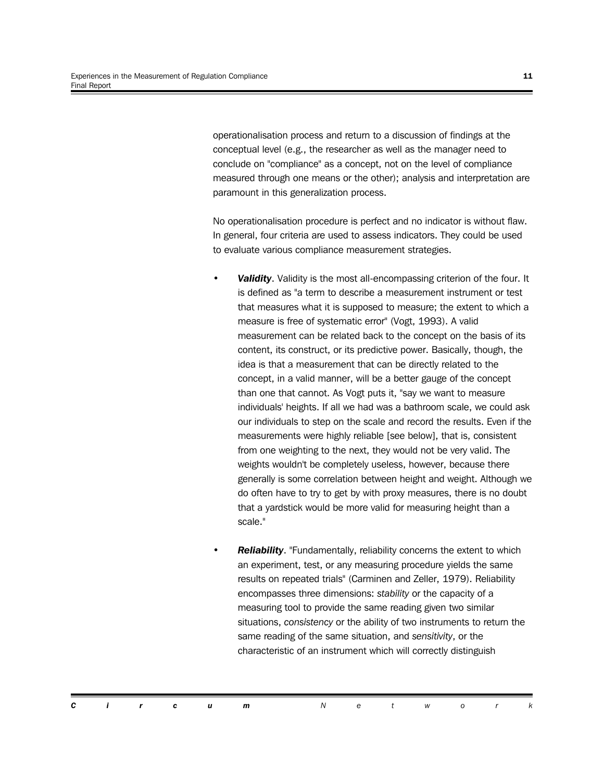operationalisation process and return to a discussion of findings at the conceptual level (e.g., the researcher as well as the manager need to conclude on "compliance" as a concept, not on the level of compliance measured through one means or the other); analysis and interpretation are paramount in this generalization process.

No operationalisation procedure is perfect and no indicator is without flaw. In general, four criteria are used to assess indicators. They could be used to evaluate various compliance measurement strategies.

- *Validity*. Validity is the most all-encompassing criterion of the four. It is defined as "a term to describe a measurement instrument or test that measures what it is supposed to measure; the extent to which a measure is free of systematic error" (Vogt, 1993). A valid measurement can be related back to the concept on the basis of its content, its construct, or its predictive power. Basically, though, the idea is that a measurement that can be directly related to the concept, in a valid manner, will be a better gauge of the concept than one that cannot. As Vogt puts it, "say we want to measure individuals' heights. If all we had was a bathroom scale, we could ask our individuals to step on the scale and record the results. Even if the measurements were highly reliable [see below], that is, consistent from one weighting to the next, they would not be very valid. The weights wouldn't be completely useless, however, because there generally is some correlation between height and weight. Although we do often have to try to get by with proxy measures, there is no doubt that a yardstick would be more valid for measuring height than a scale."
- **Reliability.** "Fundamentally, reliability concerns the extent to which an experiment, test, or any measuring procedure yields the same results on repeated trials" (Carminen and Zeller, 1979). Reliability encompasses three dimensions: *stability* or the capacity of a measuring tool to provide the same reading given two similar situations, *consistency* or the ability of two instruments to return the same reading of the same situation, and *sensitivity*, or the characteristic of an instrument which will correctly distinguish

*Circum Networ k*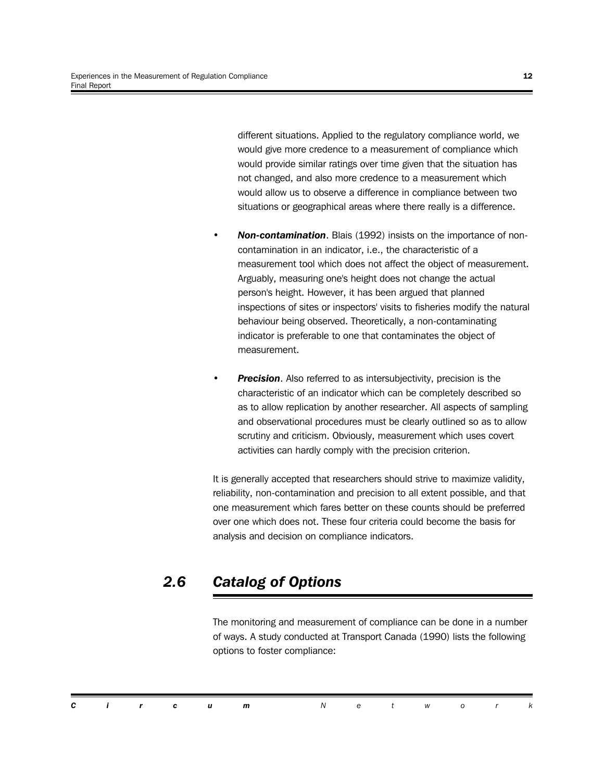different situations. Applied to the regulatory compliance world, we would give more credence to a measurement of compliance which would provide similar ratings over time given that the situation has not changed, and also more credence to a measurement which would allow us to observe a difference in compliance between two situations or geographical areas where there really is a difference.

- *Non-contamination*. Blais (1992) insists on the importance of noncontamination in an indicator, i.e., the characteristic of a measurement tool which does not affect the object of measurement. Arguably, measuring one's height does not change the actual person's height. However, it has been argued that planned inspections of sites or inspectors' visits to fisheries modify the natural behaviour being observed. Theoretically, a non-contaminating indicator is preferable to one that contaminates the object of measurement.
- *Precision*. Also referred to as intersubjectivity, precision is the characteristic of an indicator which can be completely described so as to allow replication by another researcher. All aspects of sampling and observational procedures must be clearly outlined so as to allow scrutiny and criticism. Obviously, measurement which uses covert activities can hardly comply with the precision criterion.

It is generally accepted that researchers should strive to maximize validity, reliability, non-contamination and precision to all extent possible, and that one measurement which fares better on these counts should be preferred over one which does not. These four criteria could become the basis for analysis and decision on compliance indicators.

## *2.6 Catalog of Options*

The monitoring and measurement of compliance can be done in a number of ways. A study conducted at Transport Canada (1990) lists the following options to foster compliance:

|  |  |  | <b>Circum</b> Network |  |  |  |
|--|--|--|-----------------------|--|--|--|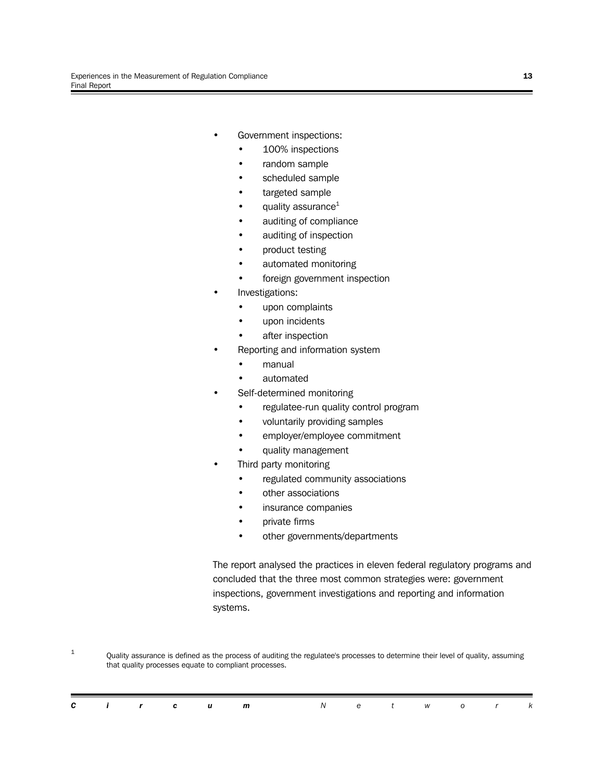- Government inspections:
	- 100% inspections
	- random sample
	- scheduled sample
	- targeted sample
	- quality assurance $1$
	- auditing of compliance
	- auditing of inspection
	- product testing
	- automated monitoring
	- foreign government inspection
- Investigations:
	- upon complaints
	- upon incidents
	- after inspection
- Reporting and information system
	- manual
	- automated
- Self-determined monitoring
	- regulatee-run quality control program
	- voluntarily providing samples
	- employer/employee commitment
	- quality management
- Third party monitoring
	- regulated community associations
	- other associations
	- insurance companies
	- private firms
	- other governments/departments

The report analysed the practices in eleven federal regulatory programs and concluded that the three most common strategies were: government inspections, government investigations and reporting and information systems.

1 Quality assurance is defined as the process of auditing the regulatee's processes to determine their level of quality, assuming that quality processes equate to compliant processes.

|  |  | <b>Circum</b> Network |  |  |  |  |
|--|--|-----------------------|--|--|--|--|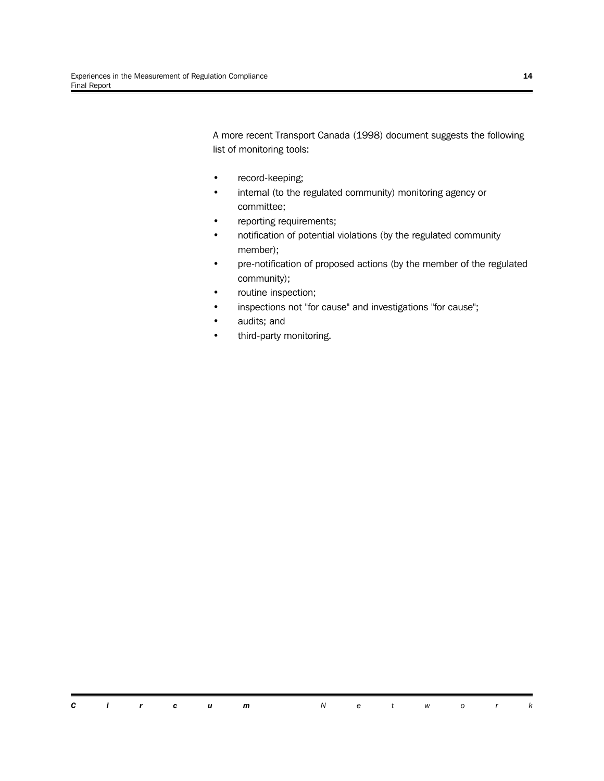A more recent Transport Canada (1998) document suggests the following list of monitoring tools:

- record-keeping;
- internal (to the regulated community) monitoring agency or committee;
- reporting requirements;
- notification of potential violations (by the regulated community member);
- pre-notification of proposed actions (by the member of the regulated community);
- routine inspection;
- inspections not "for cause" and investigations "for cause";
- audits; and
- third-party monitoring.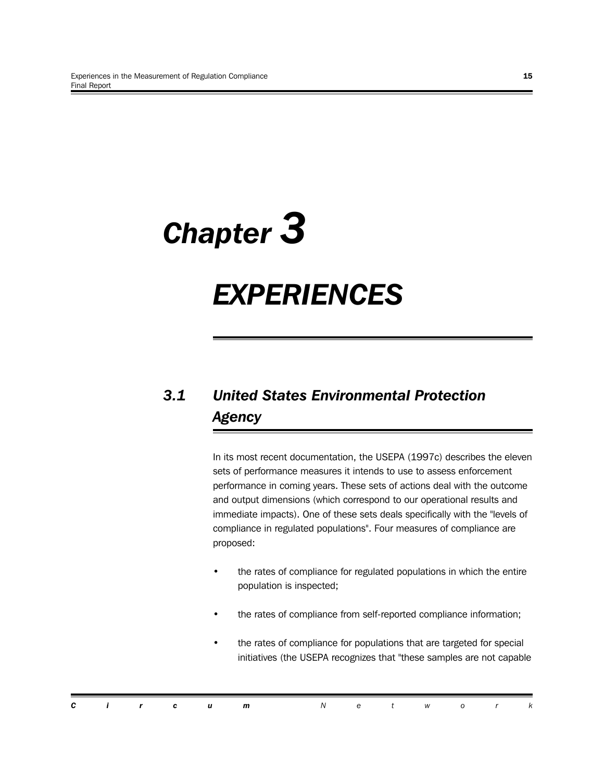# *Chapter 3*

## *EXPERIENCES*

## *3.1 United States Environmental Protection Agency*

In its most recent documentation, the USEPA (1997c) describes the eleven sets of performance measures it intends to use to assess enforcement performance in coming years. These sets of actions deal with the outcome and output dimensions (which correspond to our operational results and immediate impacts). One of these sets deals specifically with the "levels of compliance in regulated populations". Four measures of compliance are proposed:

- the rates of compliance for regulated populations in which the entire population is inspected;
- the rates of compliance from self-reported compliance information;
- the rates of compliance for populations that are targeted for special initiatives (the USEPA recognizes that "these samples are not capable

|  |  | <b>Circum</b> Network |  |  |  |  |
|--|--|-----------------------|--|--|--|--|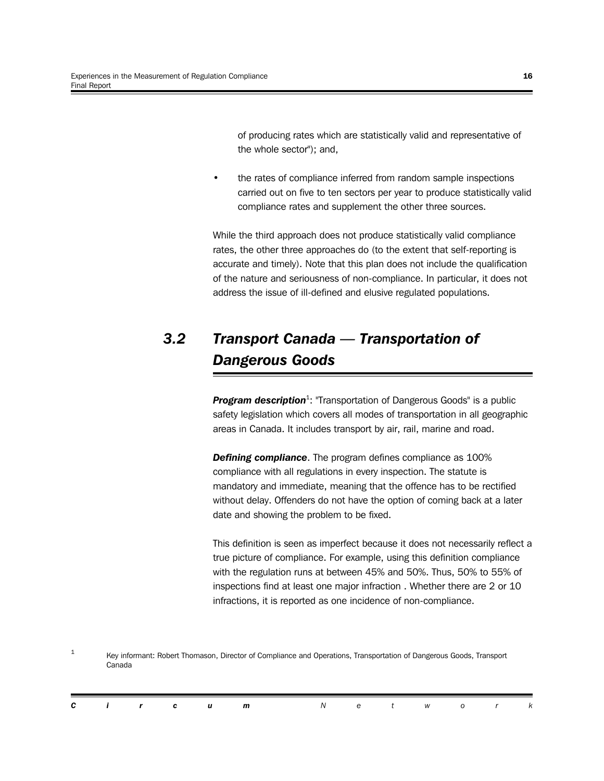of producing rates which are statistically valid and representative of the whole sector"); and,

the rates of compliance inferred from random sample inspections carried out on five to ten sectors per year to produce statistically valid compliance rates and supplement the other three sources.

While the third approach does not produce statistically valid compliance rates, the other three approaches do (to the extent that self-reporting is accurate and timely). Note that this plan does not include the qualification of the nature and seriousness of non-compliance. In particular, it does not address the issue of ill-defined and elusive regulated populations.

## *3.2 Transport Canada — Transportation of Dangerous Goods*

Program description<sup>1</sup>: "Transportation of Dangerous Goods" is a public safety legislation which covers all modes of transportation in all geographic areas in Canada. It includes transport by air, rail, marine and road.

*Defining compliance*. The program defines compliance as 100% compliance with all regulations in every inspection. The statute is mandatory and immediate, meaning that the offence has to be rectified without delay. Offenders do not have the option of coming back at a later date and showing the problem to be fixed.

This definition is seen as imperfect because it does not necessarily reflect a true picture of compliance. For example, using this definition compliance with the regulation runs at between 45% and 50%. Thus, 50% to 55% of inspections find at least one major infraction . Whether there are 2 or 10 infractions, it is reported as one incidence of non-compliance.

1 Key informant: Robert Thomason, Director of Compliance and Operations, Transportation of Dangerous Goods, Transport Canada

|  |  | <b>Circum</b> Network |  |  |  |  |
|--|--|-----------------------|--|--|--|--|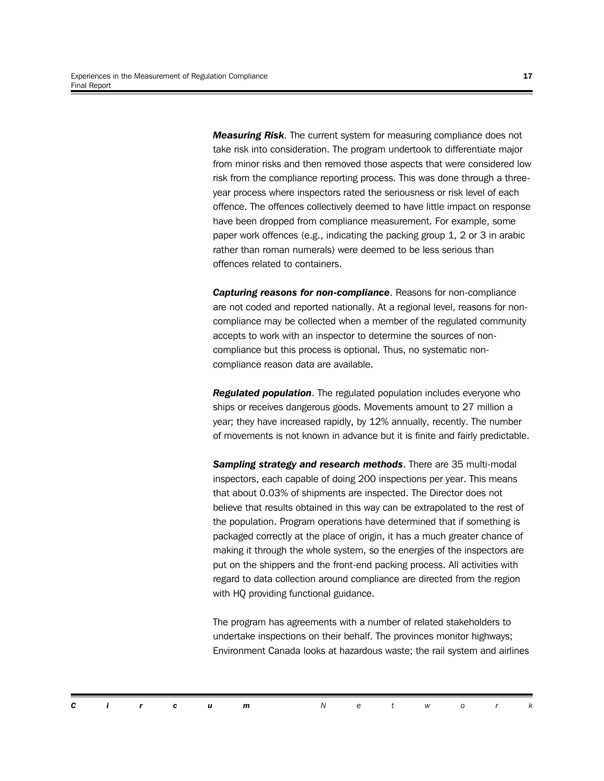*Measuring Risk*. The current system for measuring compliance does not take risk into consideration. The program undertook to differentiate major from minor risks and then removed those aspects that were considered low risk from the compliance reporting process. This was done through a threeyear process where inspectors rated the seriousness or risk level of each offence. The offences collectively deemed to have little impact on response have been dropped from compliance measurement. For example, some paper work offences (e.g., indicating the packing group 1, 2 or 3 in arabic rather than roman numerals) were deemed to be less serious than offences related to containers.

*Capturing reasons for non-compliance*. Reasons for non-compliance are not coded and reported nationally. At a regional level, reasons for noncompliance may be collected when a member of the regulated community accepts to work with an inspector to determine the sources of noncompliance but this process is optional. Thus, no systematic noncompliance reason data are available.

*Regulated population*. The regulated population includes everyone who ships or receives dangerous goods. Movements amount to 27 million a year; they have increased rapidly, by 12% annually, recently. The number of movements is not known in advance but it is finite and fairly predictable.

*Sampling strategy and research methods*. There are 35 multi-modal inspectors, each capable of doing 200 inspections per year. This means that about 0.03% of shipments are inspected. The Director does not believe that results obtained in this way can be extrapolated to the rest of the population. Program operations have determined that if something is packaged correctly at the place of origin, it has a much greater chance of making it through the whole system, so the energies of the inspectors are put on the shippers and the front-end packing process. All activities with regard to data collection around compliance are directed from the region with HQ providing functional guidance.

The program has agreements with a number of related stakeholders to undertake inspections on their behalf. The provinces monitor highways; Environment Canada looks at hazardous waste; the rail system and airlines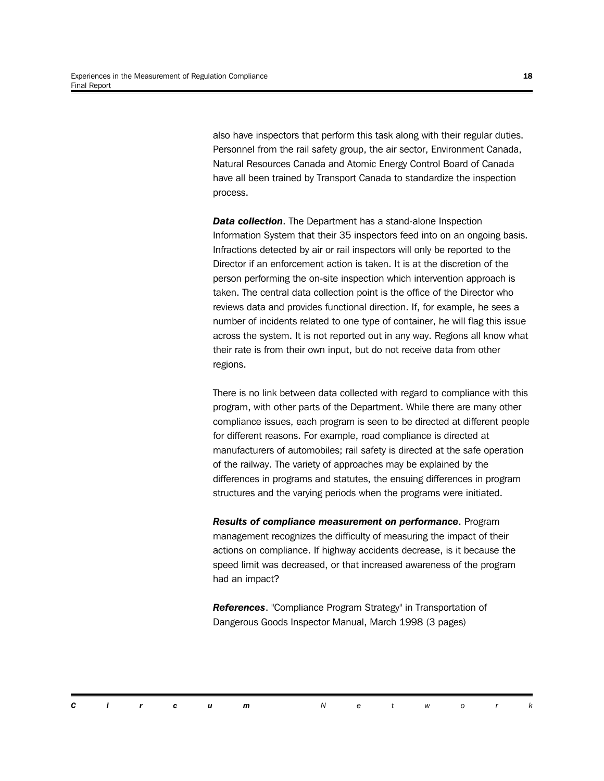also have inspectors that perform this task along with their regular duties. Personnel from the rail safety group, the air sector, Environment Canada, Natural Resources Canada and Atomic Energy Control Board of Canada have all been trained by Transport Canada to standardize the inspection process.

**Data collection.** The Department has a stand-alone Inspection Information System that their 35 inspectors feed into on an ongoing basis. Infractions detected by air or rail inspectors will only be reported to the Director if an enforcement action is taken. It is at the discretion of the person performing the on-site inspection which intervention approach is taken. The central data collection point is the office of the Director who reviews data and provides functional direction. If, for example, he sees a number of incidents related to one type of container, he will flag this issue across the system. It is not reported out in any way. Regions all know what their rate is from their own input, but do not receive data from other regions.

There is no link between data collected with regard to compliance with this program, with other parts of the Department. While there are many other compliance issues, each program is seen to be directed at different people for different reasons. For example, road compliance is directed at manufacturers of automobiles; rail safety is directed at the safe operation of the railway. The variety of approaches may be explained by the differences in programs and statutes, the ensuing differences in program structures and the varying periods when the programs were initiated.

*Results of compliance measurement on performance*. Program management recognizes the difficulty of measuring the impact of their actions on compliance. If highway accidents decrease, is it because the speed limit was decreased, or that increased awareness of the program had an impact?

*References*. "Compliance Program Strategy" in Transportation of Dangerous Goods Inspector Manual, March 1998 (3 pages)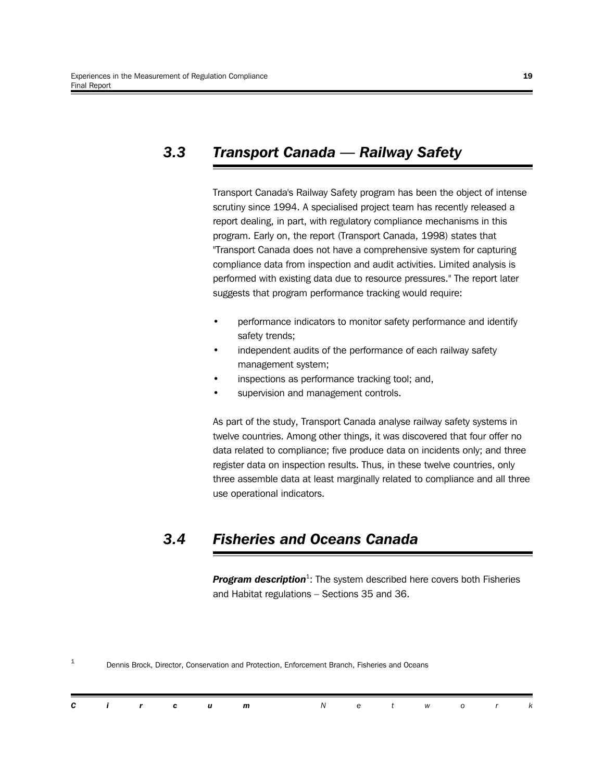## *3.3 Transport Canada — Railway Safety*

Transport Canada's Railway Safety program has been the object of intense scrutiny since 1994. A specialised project team has recently released a report dealing, in part, with regulatory compliance mechanisms in this program. Early on, the report (Transport Canada, 1998) states that "Transport Canada does not have a comprehensive system for capturing compliance data from inspection and audit activities. Limited analysis is performed with existing data due to resource pressures." The report later suggests that program performance tracking would require:

- performance indicators to monitor safety performance and identify safety trends;
- independent audits of the performance of each railway safety management system;
- inspections as performance tracking tool; and,
- supervision and management controls.

As part of the study, Transport Canada analyse railway safety systems in twelve countries. Among other things, it was discovered that four offer no data related to compliance; five produce data on incidents only; and three register data on inspection results. Thus, in these twelve countries, only three assemble data at least marginally related to compliance and all three use operational indicators.

## *3.4 Fisheries and Oceans Canada*

Program description<sup>1</sup>: The system described here covers both Fisheries and Habitat regulations – Sections 35 and 36.

| C.<br>$\mathbf{i}$ $\mathbf{r}$<br>$\mathbf{r}$<br>W .<br>u m |  |
|---------------------------------------------------------------|--|
|---------------------------------------------------------------|--|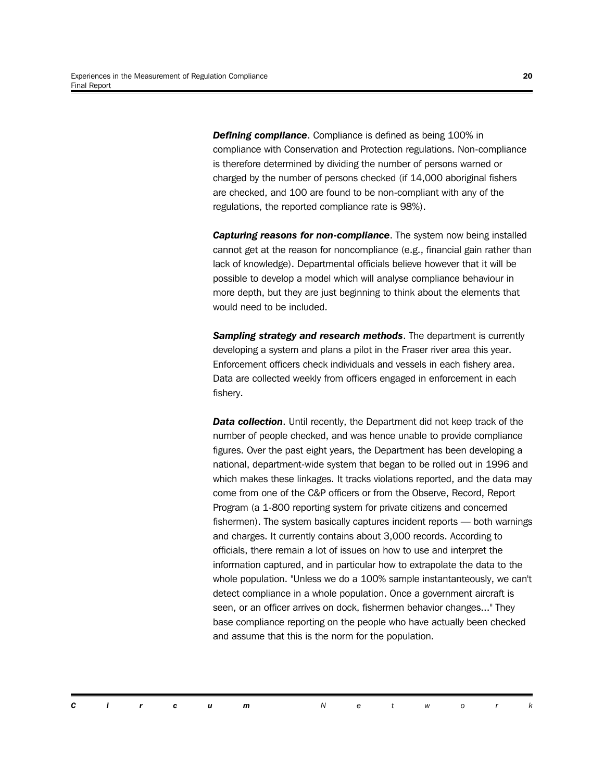*Defining compliance*. Compliance is defined as being 100% in compliance with Conservation and Protection regulations. Non-compliance is therefore determined by dividing the number of persons warned or charged by the number of persons checked (if 14,000 aboriginal fishers are checked, and 100 are found to be non-compliant with any of the regulations, the reported compliance rate is 98%).

*Capturing reasons for non-compliance*. The system now being installed cannot get at the reason for noncompliance (e.g., financial gain rather than lack of knowledge). Departmental officials believe however that it will be possible to develop a model which will analyse compliance behaviour in more depth, but they are just beginning to think about the elements that would need to be included.

**Sampling strategy and research methods**. The department is currently developing a system and plans a pilot in the Fraser river area this year. Enforcement officers check individuals and vessels in each fishery area. Data are collected weekly from officers engaged in enforcement in each fishery.

**Data collection.** Until recently, the Department did not keep track of the number of people checked, and was hence unable to provide compliance figures. Over the past eight years, the Department has been developing a national, department-wide system that began to be rolled out in 1996 and which makes these linkages. It tracks violations reported, and the data may come from one of the C&P officers or from the Observe, Record, Report Program (a 1-800 reporting system for private citizens and concerned fishermen). The system basically captures incident reports — both warnings and charges. It currently contains about 3,000 records. According to officials, there remain a lot of issues on how to use and interpret the information captured, and in particular how to extrapolate the data to the whole population. "Unless we do a 100% sample instantanteously, we can't detect compliance in a whole population. Once a government aircraft is seen, or an officer arrives on dock, fishermen behavior changes..." They base compliance reporting on the people who have actually been checked and assume that this is the norm for the population.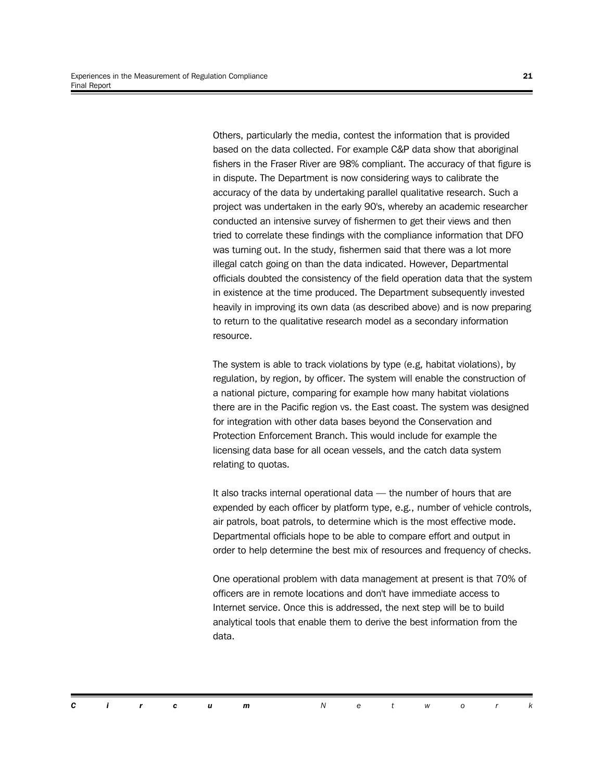Others, particularly the media, contest the information that is provided based on the data collected. For example C&P data show that aboriginal fishers in the Fraser River are 98% compliant. The accuracy of that figure is in dispute. The Department is now considering ways to calibrate the accuracy of the data by undertaking parallel qualitative research. Such a project was undertaken in the early 90's, whereby an academic researcher conducted an intensive survey of fishermen to get their views and then tried to correlate these findings with the compliance information that DFO was turning out. In the study, fishermen said that there was a lot more illegal catch going on than the data indicated. However, Departmental officials doubted the consistency of the field operation data that the system in existence at the time produced. The Department subsequently invested heavily in improving its own data (as described above) and is now preparing to return to the qualitative research model as a secondary information resource.

The system is able to track violations by type (e.g, habitat violations), by regulation, by region, by officer. The system will enable the construction of a national picture, comparing for example how many habitat violations there are in the Pacific region vs. the East coast. The system was designed for integration with other data bases beyond the Conservation and Protection Enforcement Branch. This would include for example the licensing data base for all ocean vessels, and the catch data system relating to quotas.

It also tracks internal operational data — the number of hours that are expended by each officer by platform type, e.g., number of vehicle controls, air patrols, boat patrols, to determine which is the most effective mode. Departmental officials hope to be able to compare effort and output in order to help determine the best mix of resources and frequency of checks.

One operational problem with data management at present is that 70% of officers are in remote locations and don't have immediate access to Internet service. Once this is addressed, the next step will be to build analytical tools that enable them to derive the best information from the data.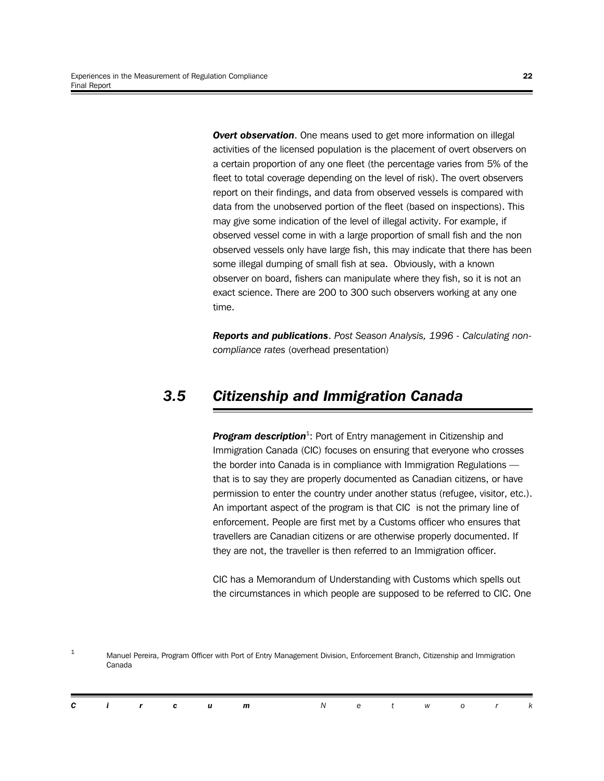**Overt observation.** One means used to get more information on illegal activities of the licensed population is the placement of overt observers on a certain proportion of any one fleet (the percentage varies from 5% of the fleet to total coverage depending on the level of risk). The overt observers report on their findings, and data from observed vessels is compared with data from the unobserved portion of the fleet (based on inspections). This may give some indication of the level of illegal activity. For example, if observed vessel come in with a large proportion of small fish and the non observed vessels only have large fish, this may indicate that there has been some illegal dumping of small fish at sea. Obviously, with a known observer on board, fishers can manipulate where they fish, so it is not an exact science. There are 200 to 300 such observers working at any one time.

*Reports and publications*. *Post Season Analysis, 1996 - Calculating noncompliance rates* (overhead presentation)

### *3.5 Citizenship and Immigration Canada*

Program description<sup>1</sup>: Port of Entry management in Citizenship and Immigration Canada (CIC) focuses on ensuring that everyone who crosses the border into Canada is in compliance with Immigration Regulations that is to say they are properly documented as Canadian citizens, or have permission to enter the country under another status (refugee, visitor, etc.). An important aspect of the program is that CIC is not the primary line of enforcement. People are first met by a Customs officer who ensures that travellers are Canadian citizens or are otherwise properly documented. If they are not, the traveller is then referred to an Immigration officer.

CIC has a Memorandum of Understanding with Customs which spells out the circumstances in which people are supposed to be referred to CIC. One

 $1$  Manuel Pereira, Program Officer with Port of Entry Management Division, Enforcement Branch, Citizenship and Immigration Canada

|  |  | <b>Circum</b> Network |  |  |  |  |
|--|--|-----------------------|--|--|--|--|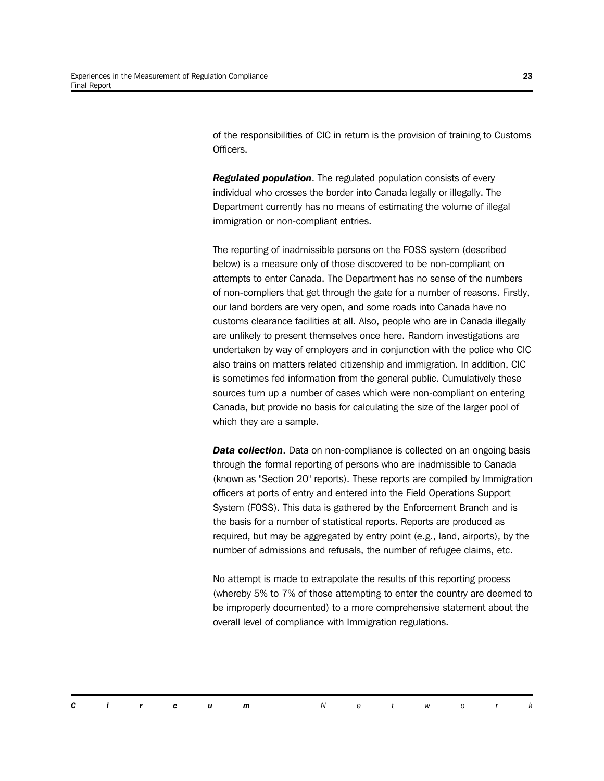of the responsibilities of CIC in return is the provision of training to Customs Officers.

*Regulated population*. The regulated population consists of every individual who crosses the border into Canada legally or illegally. The Department currently has no means of estimating the volume of illegal immigration or non-compliant entries.

The reporting of inadmissible persons on the FOSS system (described below) is a measure only of those discovered to be non-compliant on attempts to enter Canada. The Department has no sense of the numbers of non-compliers that get through the gate for a number of reasons. Firstly, our land borders are very open, and some roads into Canada have no customs clearance facilities at all. Also, people who are in Canada illegally are unlikely to present themselves once here. Random investigations are undertaken by way of employers and in conjunction with the police who CIC also trains on matters related citizenship and immigration. In addition, CIC is sometimes fed information from the general public. Cumulatively these sources turn up a number of cases which were non-compliant on entering Canada, but provide no basis for calculating the size of the larger pool of which they are a sample.

*Data collection.* Data on non-compliance is collected on an ongoing basis through the formal reporting of persons who are inadmissible to Canada (known as "Section 20" reports). These reports are compiled by Immigration officers at ports of entry and entered into the Field Operations Support System (FOSS). This data is gathered by the Enforcement Branch and is the basis for a number of statistical reports. Reports are produced as required, but may be aggregated by entry point (e.g., land, airports), by the number of admissions and refusals, the number of refugee claims, etc.

No attempt is made to extrapolate the results of this reporting process (whereby 5% to 7% of those attempting to enter the country are deemed to be improperly documented) to a more comprehensive statement about the overall level of compliance with Immigration regulations.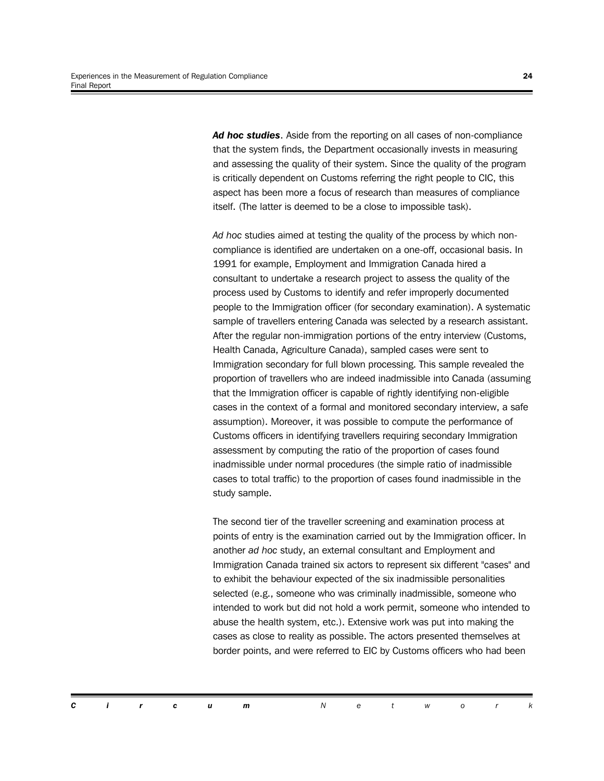*Ad hoc studies*. Aside from the reporting on all cases of non-compliance that the system finds, the Department occasionally invests in measuring and assessing the quality of their system. Since the quality of the program is critically dependent on Customs referring the right people to CIC, this aspect has been more a focus of research than measures of compliance itself. (The latter is deemed to be a close to impossible task).

*Ad hoc* studies aimed at testing the quality of the process by which noncompliance is identified are undertaken on a one-off, occasional basis. In 1991 for example, Employment and Immigration Canada hired a consultant to undertake a research project to assess the quality of the process used by Customs to identify and refer improperly documented people to the Immigration officer (for secondary examination). A systematic sample of travellers entering Canada was selected by a research assistant. After the regular non-immigration portions of the entry interview (Customs, Health Canada, Agriculture Canada), sampled cases were sent to Immigration secondary for full blown processing. This sample revealed the proportion of travellers who are indeed inadmissible into Canada (assuming that the Immigration officer is capable of rightly identifying non-eligible cases in the context of a formal and monitored secondary interview, a safe assumption). Moreover, it was possible to compute the performance of Customs officers in identifying travellers requiring secondary Immigration assessment by computing the ratio of the proportion of cases found inadmissible under normal procedures (the simple ratio of inadmissible cases to total traffic) to the proportion of cases found inadmissible in the study sample.

The second tier of the traveller screening and examination process at points of entry is the examination carried out by the Immigration officer. In another *ad hoc* study, an external consultant and Employment and Immigration Canada trained six actors to represent six different "cases" and to exhibit the behaviour expected of the six inadmissible personalities selected (e.g., someone who was criminally inadmissible, someone who intended to work but did not hold a work permit, someone who intended to abuse the health system, etc.). Extensive work was put into making the cases as close to reality as possible. The actors presented themselves at border points, and were referred to EIC by Customs officers who had been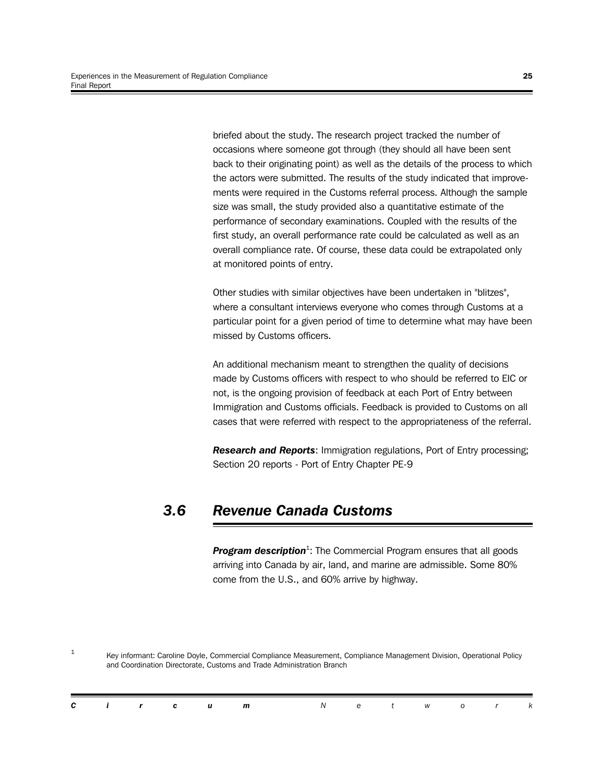briefed about the study. The research project tracked the number of occasions where someone got through (they should all have been sent back to their originating point) as well as the details of the process to which the actors were submitted. The results of the study indicated that improvements were required in the Customs referral process. Although the sample size was small, the study provided also a quantitative estimate of the performance of secondary examinations. Coupled with the results of the first study, an overall performance rate could be calculated as well as an overall compliance rate. Of course, these data could be extrapolated only at monitored points of entry.

Other studies with similar objectives have been undertaken in "blitzes", where a consultant interviews everyone who comes through Customs at a particular point for a given period of time to determine what may have been missed by Customs officers.

An additional mechanism meant to strengthen the quality of decisions made by Customs officers with respect to who should be referred to EIC or not, is the ongoing provision of feedback at each Port of Entry between Immigration and Customs officials. Feedback is provided to Customs on all cases that were referred with respect to the appropriateness of the referral.

*Research and Reports*: Immigration regulations, Port of Entry processing; Section 20 reports - Port of Entry Chapter PE-9

### *3.6 Revenue Canada Customs*

Program description<sup>1</sup>: The Commercial Program ensures that all goods arriving into Canada by air, land, and marine are admissible. Some 80% come from the U.S., and 60% arrive by highway.

1 Key informant: Caroline Doyle, Commercial Compliance Measurement, Compliance Management Division, Operational Policy and Coordination Directorate, Customs and Trade Administration Branch

|  |  | <b>Circum</b> Network |  |  |  |  |
|--|--|-----------------------|--|--|--|--|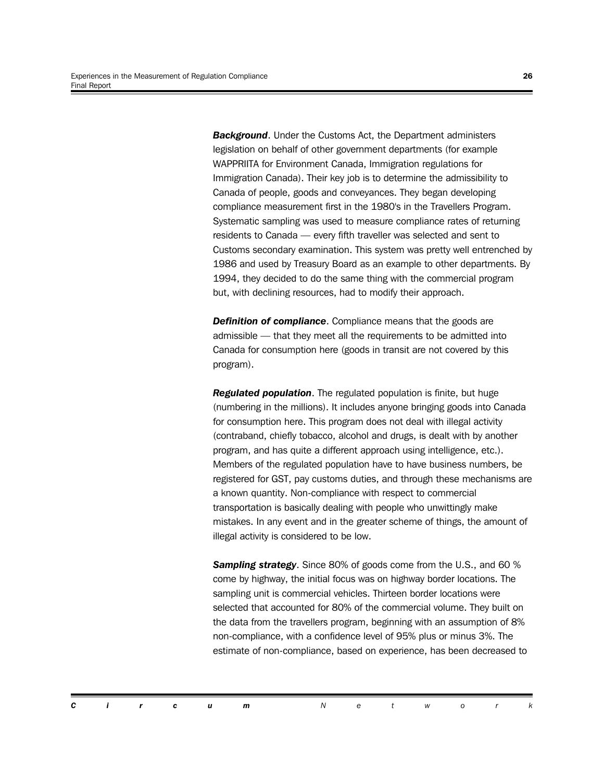*Background*. Under the Customs Act, the Department administers legislation on behalf of other government departments (for example WAPPRIITA for Environment Canada, Immigration regulations for Immigration Canada). Their key job is to determine the admissibility to Canada of people, goods and conveyances. They began developing compliance measurement first in the 1980's in the Travellers Program. Systematic sampling was used to measure compliance rates of returning residents to Canada — every fifth traveller was selected and sent to Customs secondary examination. This system was pretty well entrenched by 1986 and used by Treasury Board as an example to other departments. By 1994, they decided to do the same thing with the commercial program but, with declining resources, had to modify their approach.

*Definition of compliance*. Compliance means that the goods are admissible — that they meet all the requirements to be admitted into Canada for consumption here (goods in transit are not covered by this program).

*Regulated population*. The regulated population is finite, but huge (numbering in the millions). It includes anyone bringing goods into Canada for consumption here. This program does not deal with illegal activity (contraband, chiefly tobacco, alcohol and drugs, is dealt with by another program, and has quite a different approach using intelligence, etc.). Members of the regulated population have to have business numbers, be registered for GST, pay customs duties, and through these mechanisms are a known quantity. Non-compliance with respect to commercial transportation is basically dealing with people who unwittingly make mistakes. In any event and in the greater scheme of things, the amount of illegal activity is considered to be low.

*Sampling strategy*. Since 80% of goods come from the U.S., and 60 % come by highway, the initial focus was on highway border locations. The sampling unit is commercial vehicles. Thirteen border locations were selected that accounted for 80% of the commercial volume. They built on the data from the travellers program, beginning with an assumption of 8% non-compliance, with a confidence level of 95% plus or minus 3%. The estimate of non-compliance, based on experience, has been decreased to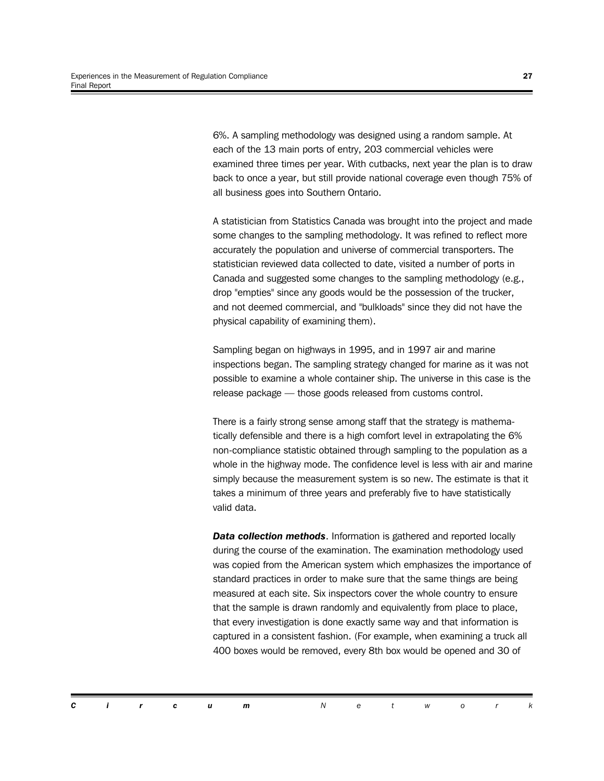6%. A sampling methodology was designed using a random sample. At each of the 13 main ports of entry, 203 commercial vehicles were examined three times per year. With cutbacks, next year the plan is to draw back to once a year, but still provide national coverage even though 75% of all business goes into Southern Ontario.

A statistician from Statistics Canada was brought into the project and made some changes to the sampling methodology. It was refined to reflect more accurately the population and universe of commercial transporters. The statistician reviewed data collected to date, visited a number of ports in Canada and suggested some changes to the sampling methodology (e.g., drop "empties" since any goods would be the possession of the trucker, and not deemed commercial, and "bulkloads" since they did not have the physical capability of examining them).

Sampling began on highways in 1995, and in 1997 air and marine inspections began. The sampling strategy changed for marine as it was not possible to examine a whole container ship. The universe in this case is the release package — those goods released from customs control.

There is a fairly strong sense among staff that the strategy is mathematically defensible and there is a high comfort level in extrapolating the 6% non-compliance statistic obtained through sampling to the population as a whole in the highway mode. The confidence level is less with air and marine simply because the measurement system is so new. The estimate is that it takes a minimum of three years and preferably five to have statistically valid data.

*Data collection methods*. Information is gathered and reported locally during the course of the examination. The examination methodology used was copied from the American system which emphasizes the importance of standard practices in order to make sure that the same things are being measured at each site. Six inspectors cover the whole country to ensure that the sample is drawn randomly and equivalently from place to place, that every investigation is done exactly same way and that information is captured in a consistent fashion. (For example, when examining a truck all 400 boxes would be removed, every 8th box would be opened and 30 of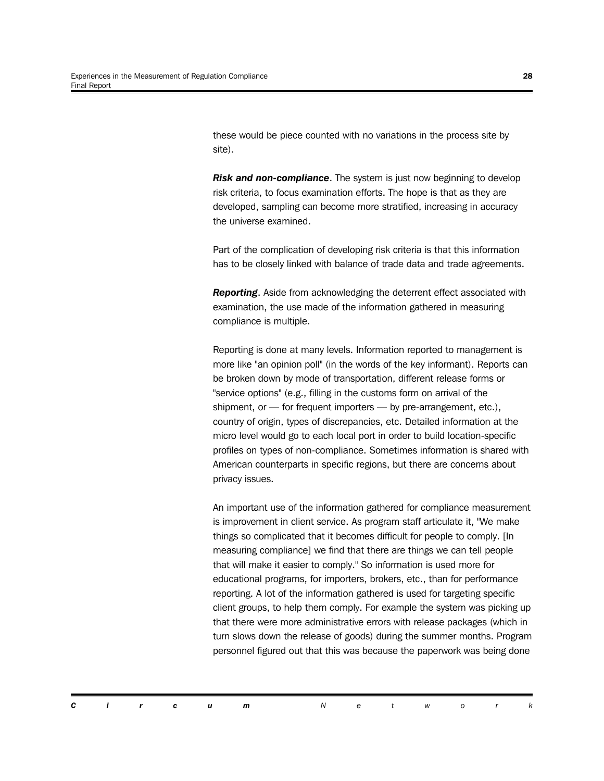these would be piece counted with no variations in the process site by site).

*Risk and non-compliance*. The system is just now beginning to develop risk criteria, to focus examination efforts. The hope is that as they are developed, sampling can become more stratified, increasing in accuracy the universe examined.

Part of the complication of developing risk criteria is that this information has to be closely linked with balance of trade data and trade agreements.

*Reporting*. Aside from acknowledging the deterrent effect associated with examination, the use made of the information gathered in measuring compliance is multiple.

Reporting is done at many levels. Information reported to management is more like "an opinion poll" (in the words of the key informant). Reports can be broken down by mode of transportation, different release forms or "service options" (e.g., filling in the customs form on arrival of the shipment, or — for frequent importers — by pre-arrangement, etc.), country of origin, types of discrepancies, etc. Detailed information at the micro level would go to each local port in order to build location-specific profiles on types of non-compliance. Sometimes information is shared with American counterparts in specific regions, but there are concerns about privacy issues.

An important use of the information gathered for compliance measurement is improvement in client service. As program staff articulate it, "We make things so complicated that it becomes difficult for people to comply. [In measuring compliance] we find that there are things we can tell people that will make it easier to comply." So information is used more for educational programs, for importers, brokers, etc., than for performance reporting. A lot of the information gathered is used for targeting specific client groups, to help them comply. For example the system was picking up that there were more administrative errors with release packages (which in turn slows down the release of goods) during the summer months. Program personnel figured out that this was because the paperwork was being done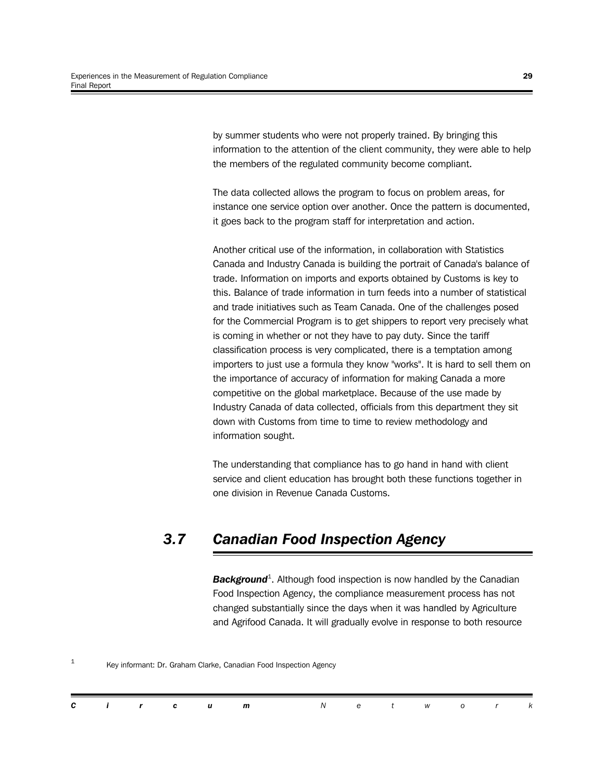by summer students who were not properly trained. By bringing this information to the attention of the client community, they were able to help the members of the regulated community become compliant.

The data collected allows the program to focus on problem areas, for instance one service option over another. Once the pattern is documented, it goes back to the program staff for interpretation and action.

Another critical use of the information, in collaboration with Statistics Canada and Industry Canada is building the portrait of Canada's balance of trade. Information on imports and exports obtained by Customs is key to this. Balance of trade information in turn feeds into a number of statistical and trade initiatives such as Team Canada. One of the challenges posed for the Commercial Program is to get shippers to report very precisely what is coming in whether or not they have to pay duty. Since the tariff classification process is very complicated, there is a temptation among importers to just use a formula they know "works". It is hard to sell them on the importance of accuracy of information for making Canada a more competitive on the global marketplace. Because of the use made by Industry Canada of data collected, officials from this department they sit down with Customs from time to time to review methodology and information sought.

The understanding that compliance has to go hand in hand with client service and client education has brought both these functions together in one division in Revenue Canada Customs.

## *3.7 Canadian Food Inspection Agency*

*Background*<sup>1</sup> . Although food inspection is now handled by the Canadian Food Inspection Agency, the compliance measurement process has not changed substantially since the days when it was handled by Agriculture and Agrifood Canada. It will gradually evolve in response to both resource

1 Key informant: Dr. Graham Clarke, Canadian Food Inspection Agency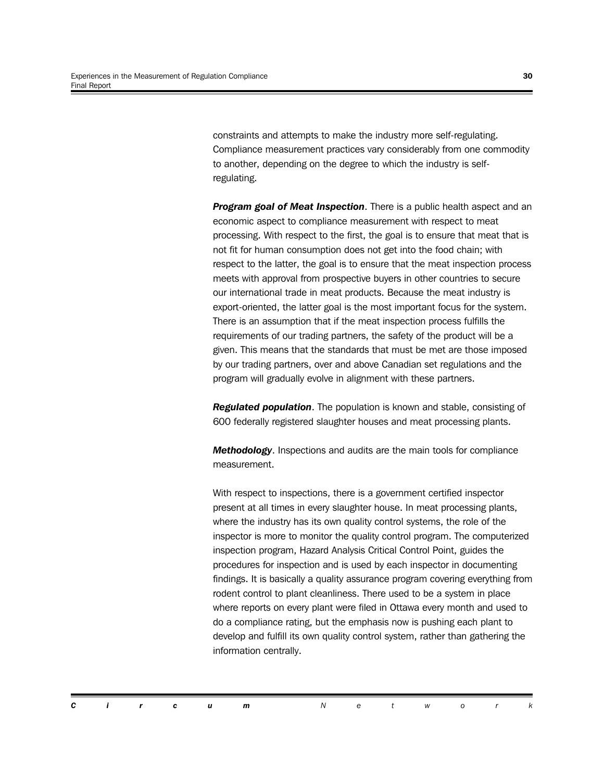constraints and attempts to make the industry more self-regulating. Compliance measurement practices vary considerably from one commodity to another, depending on the degree to which the industry is selfregulating.

*Program goal of Meat Inspection*. There is a public health aspect and an economic aspect to compliance measurement with respect to meat processing. With respect to the first, the goal is to ensure that meat that is not fit for human consumption does not get into the food chain; with respect to the latter, the goal is to ensure that the meat inspection process meets with approval from prospective buyers in other countries to secure our international trade in meat products. Because the meat industry is export-oriented, the latter goal is the most important focus for the system. There is an assumption that if the meat inspection process fulfills the requirements of our trading partners, the safety of the product will be a given. This means that the standards that must be met are those imposed by our trading partners, over and above Canadian set regulations and the program will gradually evolve in alignment with these partners.

*Regulated population*. The population is known and stable, consisting of 600 federally registered slaughter houses and meat processing plants.

*Methodology*. Inspections and audits are the main tools for compliance measurement.

With respect to inspections, there is a government certified inspector present at all times in every slaughter house. In meat processing plants, where the industry has its own quality control systems, the role of the inspector is more to monitor the quality control program. The computerized inspection program, Hazard Analysis Critical Control Point, guides the procedures for inspection and is used by each inspector in documenting findings. It is basically a quality assurance program covering everything from rodent control to plant cleanliness. There used to be a system in place where reports on every plant were filed in Ottawa every month and used to do a compliance rating, but the emphasis now is pushing each plant to develop and fulfill its own quality control system, rather than gathering the information centrally.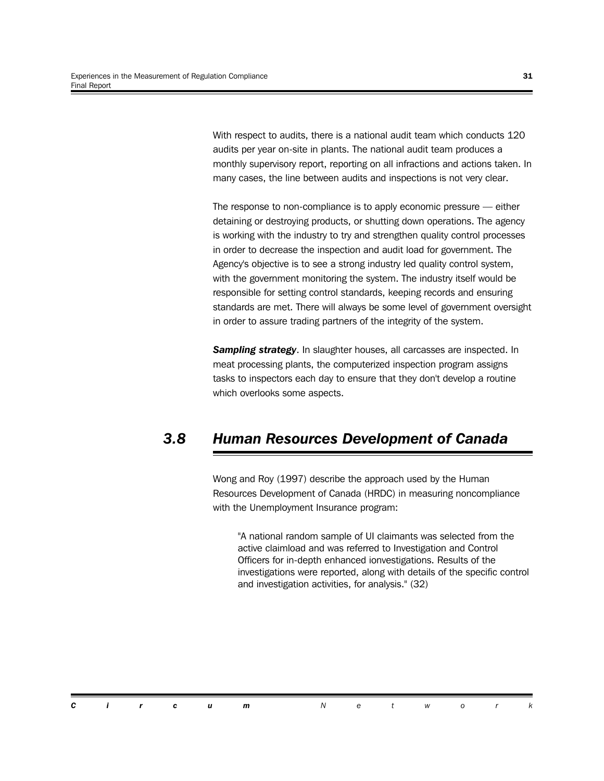With respect to audits, there is a national audit team which conducts 120 audits per year on-site in plants. The national audit team produces a monthly supervisory report, reporting on all infractions and actions taken. In many cases, the line between audits and inspections is not very clear.

The response to non-compliance is to apply economic pressure — either detaining or destroying products, or shutting down operations. The agency is working with the industry to try and strengthen quality control processes in order to decrease the inspection and audit load for government. The Agency's objective is to see a strong industry led quality control system, with the government monitoring the system. The industry itself would be responsible for setting control standards, keeping records and ensuring standards are met. There will always be some level of government oversight in order to assure trading partners of the integrity of the system.

*Sampling strategy*. In slaughter houses, all carcasses are inspected. In meat processing plants, the computerized inspection program assigns tasks to inspectors each day to ensure that they don't develop a routine which overlooks some aspects.

## *3.8 Human Resources Development of Canada*

Wong and Roy (1997) describe the approach used by the Human Resources Development of Canada (HRDC) in measuring noncompliance with the Unemployment Insurance program:

"A national random sample of UI claimants was selected from the active claimload and was referred to Investigation and Control Officers for in-depth enhanced ionvestigations. Results of the investigations were reported, along with details of the specific control and investigation activities, for analysis." (32)

*Circum Networ k*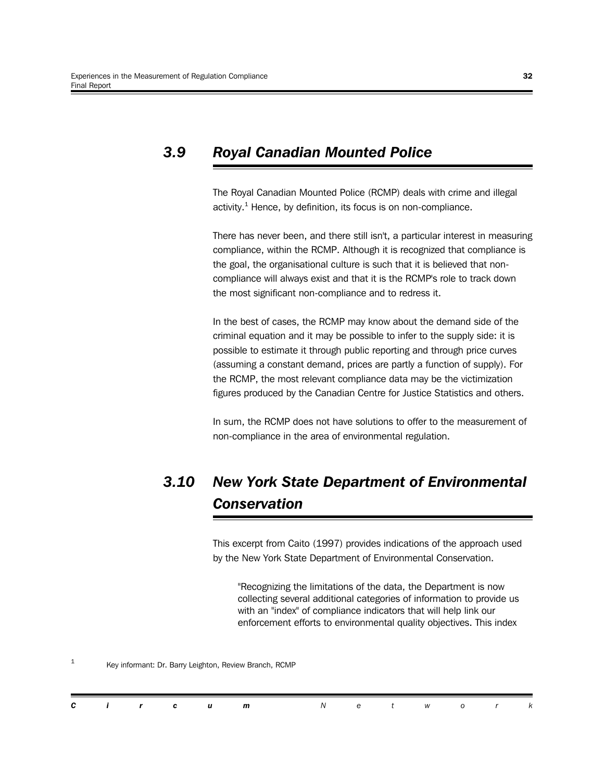## *3.9 Royal Canadian Mounted Police*

The Royal Canadian Mounted Police (RCMP) deals with crime and illegal activity.<sup>1</sup> Hence, by definition, its focus is on non-compliance.

There has never been, and there still isn't, a particular interest in measuring compliance, within the RCMP. Although it is recognized that compliance is the goal, the organisational culture is such that it is believed that noncompliance will always exist and that it is the RCMP's role to track down the most significant non-compliance and to redress it.

In the best of cases, the RCMP may know about the demand side of the criminal equation and it may be possible to infer to the supply side: it is possible to estimate it through public reporting and through price curves (assuming a constant demand, prices are partly a function of supply). For the RCMP, the most relevant compliance data may be the victimization figures produced by the Canadian Centre for Justice Statistics and others.

In sum, the RCMP does not have solutions to offer to the measurement of non-compliance in the area of environmental regulation.

## *3.10 New York State Department of Environmental Conservation*

This excerpt from Caito (1997) provides indications of the approach used by the New York State Department of Environmental Conservation.

"Recognizing the limitations of the data, the Department is now collecting several additional categories of information to provide us with an "index" of compliance indicators that will help link our enforcement efforts to environmental quality objectives. This index

| C i r c u<br>t work<br>$\overline{a}$<br>m |  |
|--------------------------------------------|--|
|--------------------------------------------|--|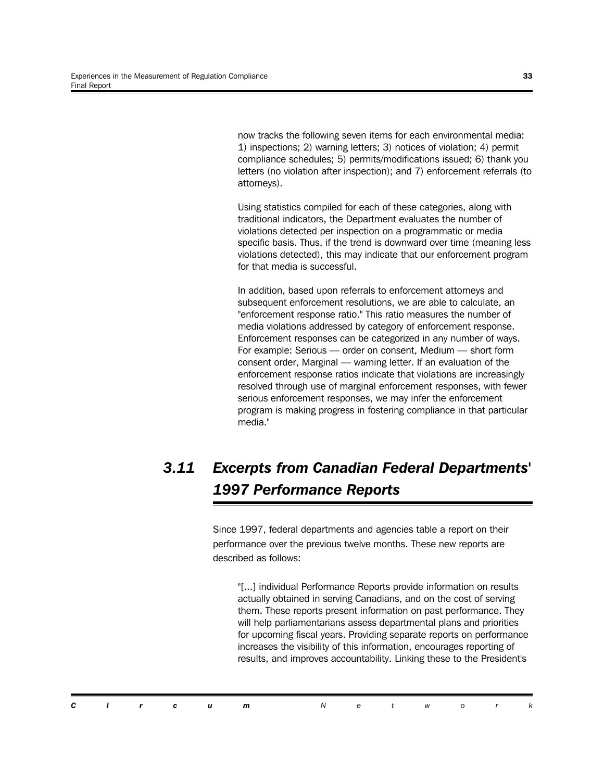now tracks the following seven items for each environmental media: 1) inspections; 2) warning letters; 3) notices of violation; 4) permit compliance schedules; 5) permits/modifications issued; 6) thank you letters (no violation after inspection); and 7) enforcement referrals (to attorneys).

Using statistics compiled for each of these categories, along with traditional indicators, the Department evaluates the number of violations detected per inspection on a programmatic or media specific basis. Thus, if the trend is downward over time (meaning less violations detected), this may indicate that our enforcement program for that media is successful.

In addition, based upon referrals to enforcement attorneys and subsequent enforcement resolutions, we are able to calculate, an "enforcement response ratio." This ratio measures the number of media violations addressed by category of enforcement response. Enforcement responses can be categorized in any number of ways. For example: Serious — order on consent, Medium — short form consent order, Marginal — warning letter. If an evaluation of the enforcement response ratios indicate that violations are increasingly resolved through use of marginal enforcement responses, with fewer serious enforcement responses, we may infer the enforcement program is making progress in fostering compliance in that particular media."

## *3.11 Excerpts from Canadian Federal Departments' 1997 Performance Reports*

Since 1997, federal departments and agencies table a report on their performance over the previous twelve months. These new reports are described as follows:

"[...] individual Performance Reports provide information on results actually obtained in serving Canadians, and on the cost of serving them. These reports present information on past performance. They will help parliamentarians assess departmental plans and priorities for upcoming fiscal years. Providing separate reports on performance increases the visibility of this information, encourages reporting of results, and improves accountability. Linking these to the President's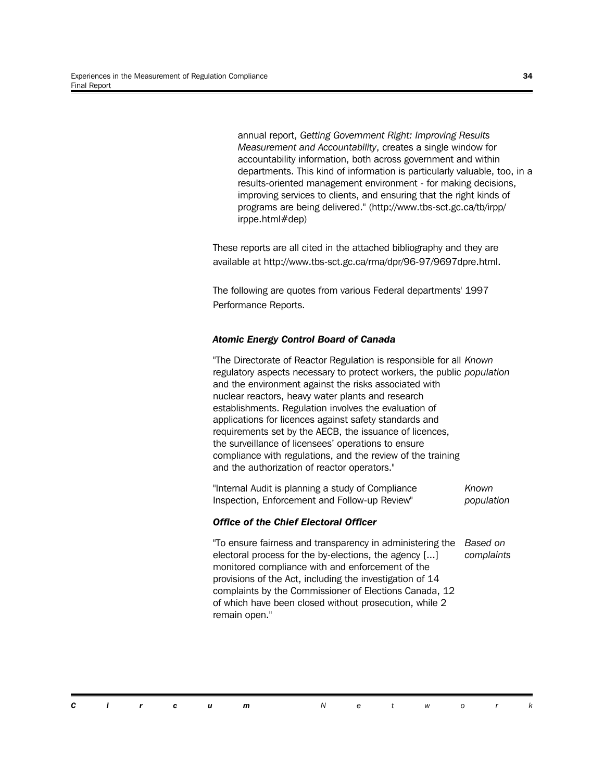annual report, *Getting Government Right: Improving Results Measurement and Accountability*, creates a single window for accountability information, both across government and within departments. This kind of information is particularly valuable, too, in a results-oriented management environment - for making decisions, improving services to clients, and ensuring that the right kinds of programs are being delivered." (http://www.tbs-sct.gc.ca/tb/irpp/ irppe.html#dep)

These reports are all cited in the attached bibliography and they are available at http://www.tbs-sct.gc.ca/rma/dpr/96-97/9697dpre.html.

The following are quotes from various Federal departments' 1997 Performance Reports.

#### *Atomic Energy Control Board of Canada*

"The Directorate of Reactor Regulation is responsible for all *Known* regulatory aspects necessary to protect workers, the public *population* and the environment against the risks associated with nuclear reactors, heavy water plants and research establishments. Regulation involves the evaluation of applications for licences against safety standards and requirements set by the AECB, the issuance of licences, the surveillance of licensees' operations to ensure compliance with regulations, and the review of the training and the authorization of reactor operators."

"Internal Audit is planning a study of Compliance Inspection, Enforcement and Follow-up Review" *Known population*

#### *Office of the Chief Electoral Officer*

"To ensure fairness and transparency in administering the electoral process for the by-elections, the agency [...] monitored compliance with and enforcement of the provisions of the Act, including the investigation of 14 complaints by the Commissioner of Elections Canada, 12 of which have been closed without prosecution, while 2 remain open." *Based on complaints*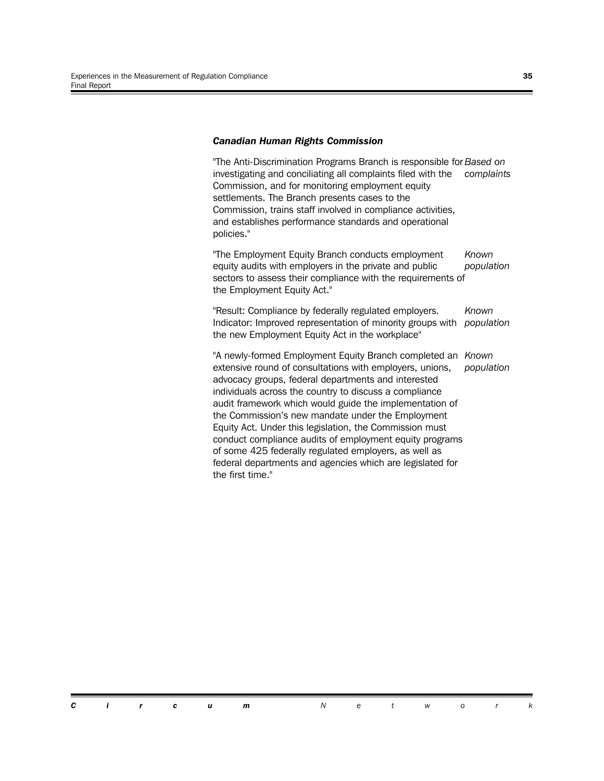#### *Canadian Human Rights Commission*

"The Anti-Discrimination Programs Branch is responsible for *Based on* investigating and conciliating all complaints filed with the Commission, and for monitoring employment equity settlements. The Branch presents cases to the Commission, trains staff involved in compliance activities, and establishes performance standards and operational policies." *complaints*

"The Employment Equity Branch conducts employment equity audits with employers in the private and public sectors to assess their compliance with the requirements of the Employment Equity Act." *Known population*

"Result: Compliance by federally regulated employers. Indicator: Improved representation of minority groups with *population* the new Employment Equity Act in the workplace" *Known*

"A newly-formed Employment Equity Branch completed an *Known* extensive round of consultations with employers, unions, advocacy groups, federal departments and interested individuals across the country to discuss a compliance audit framework which would guide the implementation of the Commission's new mandate under the Employment Equity Act. Under this legislation, the Commission must conduct compliance audits of employment equity programs of some 425 federally regulated employers, as well as federal departments and agencies which are legislated for the first time." *population*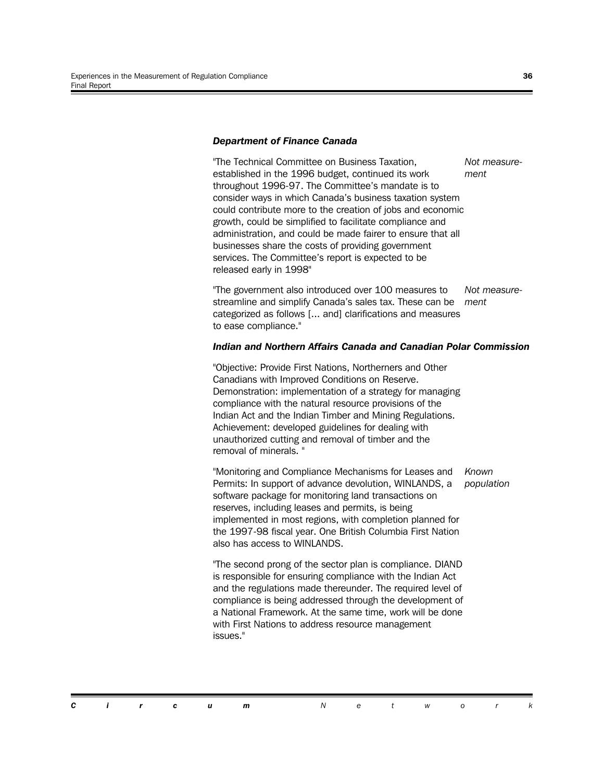#### *Department of Finance Canada*

"The Technical Committee on Business Taxation, established in the 1996 budget, continued its work throughout 1996-97. The Committee's mandate is to consider ways in which Canada's business taxation system could contribute more to the creation of jobs and economic growth, could be simplified to facilitate compliance and administration, and could be made fairer to ensure that all businesses share the costs of providing government services. The Committee's report is expected to be released early in 1998" *Not measurement*

"The government also introduced over 100 measures to streamline and simplify Canada's sales tax. These can be categorized as follows [... and] clarifications and measures to ease compliance." *Not measurement*

#### *Indian and Northern Affairs Canada and Canadian Polar Commission*

"Objective: Provide First Nations, Northerners and Other Canadians with Improved Conditions on Reserve. Demonstration: implementation of a strategy for managing compliance with the natural resource provisions of the Indian Act and the Indian Timber and Mining Regulations. Achievement: developed guidelines for dealing with unauthorized cutting and removal of timber and the removal of minerals. "

"Monitoring and Compliance Mechanisms for Leases and Permits: In support of advance devolution, WINLANDS, a software package for monitoring land transactions on reserves, including leases and permits, is being implemented in most regions, with completion planned for the 1997-98 fiscal year. One British Columbia First Nation also has access to WINLANDS. *Known*

"The second prong of the sector plan is compliance. DIAND is responsible for ensuring compliance with the Indian Act and the regulations made thereunder. The required level of compliance is being addressed through the development of a National Framework. At the same time, work will be done with First Nations to address resource management issues."

*population*

*Circum Networ k*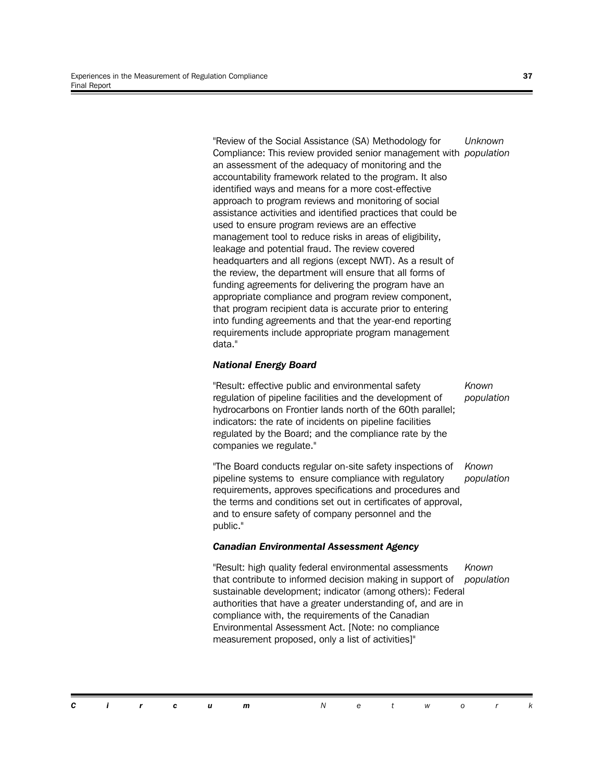"Review of the Social Assistance (SA) Methodology for Compliance: This review provided senior management with *population* an assessment of the adequacy of monitoring and the accountability framework related to the program. It also identified ways and means for a more cost-effective approach to program reviews and monitoring of social assistance activities and identified practices that could be used to ensure program reviews are an effective management tool to reduce risks in areas of eligibility, leakage and potential fraud. The review covered headquarters and all regions (except NWT). As a result of the review, the department will ensure that all forms of funding agreements for delivering the program have an appropriate compliance and program review component, that program recipient data is accurate prior to entering into funding agreements and that the year-end reporting requirements include appropriate program management data." *Unknown*

#### *National Energy Board*

"Result: effective public and environmental safety regulation of pipeline facilities and the development of hydrocarbons on Frontier lands north of the 60th parallel; indicators: the rate of incidents on pipeline facilities regulated by the Board; and the compliance rate by the companies we regulate." *Known population*

"The Board conducts regular on-site safety inspections of pipeline systems to ensure compliance with regulatory requirements, approves specifications and procedures and the terms and conditions set out in certificates of approval, and to ensure safety of company personnel and the public." *Known population*

#### *Canadian Environmental Assessment Agency*

"Result: high quality federal environmental assessments that contribute to informed decision making in support of *population*sustainable development; indicator (among others): Federal authorities that have a greater understanding of, and are in compliance with, the requirements of the Canadian Environmental Assessment Act. [Note: no compliance measurement proposed, only a list of activities]" *Known*

*Circum Networ k*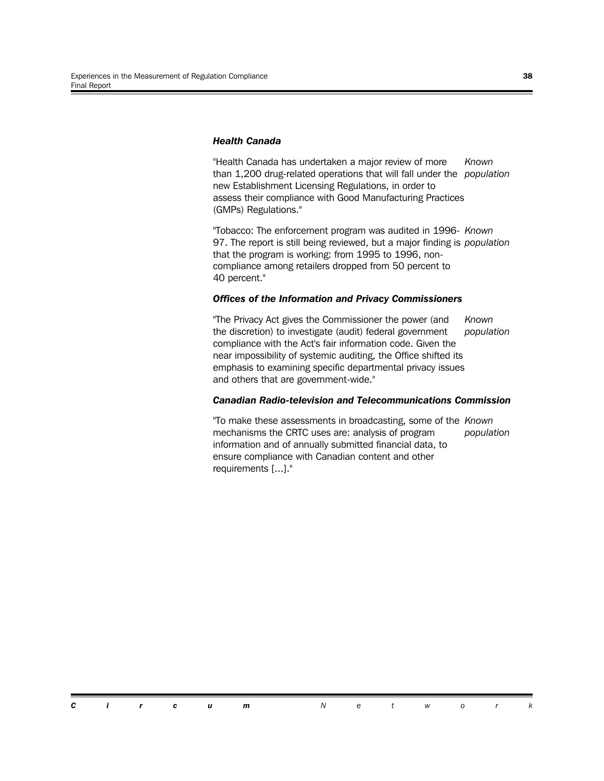#### *Health Canada*

"Health Canada has undertaken a major review of more than 1,200 drug-related operations that will fall under the *population* new Establishment Licensing Regulations, in order to assess their compliance with Good Manufacturing Practices (GMPs) Regulations." *Known*

"Tobacco: The enforcement program was audited in 1996- *Known* 97. The report is still being reviewed, but a major finding is *population* that the program is working: from 1995 to 1996, noncompliance among retailers dropped from 50 percent to 40 percent."

#### *Offices of the Information and Privacy Commissioners*

"The Privacy Act gives the Commissioner the power (and the discretion) to investigate (audit) federal government compliance with the Act's fair information code. Given the near impossibility of systemic auditing, the Office shifted its emphasis to examining specific departmental privacy issues and others that are government-wide." *Known population*

#### *Canadian Radio-television and Telecommunications Commission*

"To make these assessments in broadcasting, some of the *Known* mechanisms the CRTC uses are: analysis of program information and of annually submitted financial data, to ensure compliance with Canadian content and other requirements [...]." *population*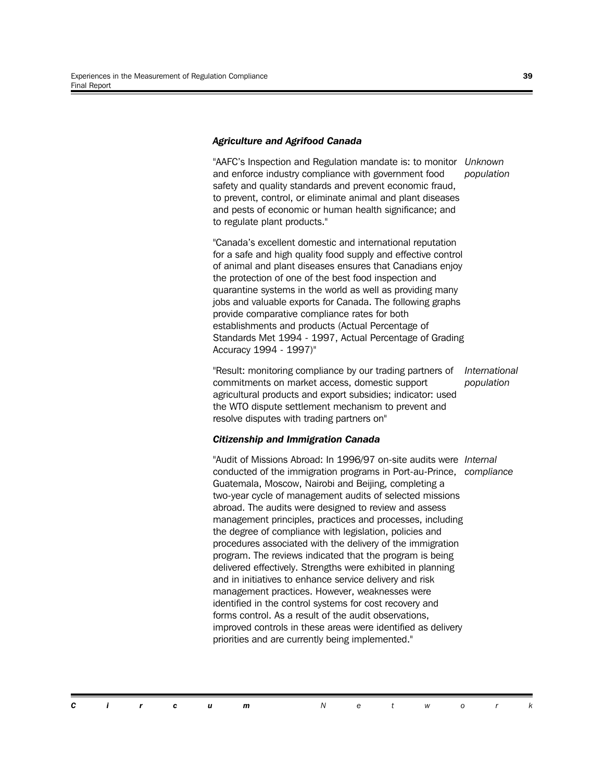#### *Agriculture and Agrifood Canada*

"AAFC's Inspection and Regulation mandate is: to monitor *Unknown* and enforce industry compliance with government food safety and quality standards and prevent economic fraud, to prevent, control, or eliminate animal and plant diseases and pests of economic or human health significance; and to regulate plant products." *population*

"Canada's excellent domestic and international reputation for a safe and high quality food supply and effective control of animal and plant diseases ensures that Canadians enjoy the protection of one of the best food inspection and quarantine systems in the world as well as providing many jobs and valuable exports for Canada. The following graphs provide comparative compliance rates for both establishments and products (Actual Percentage of Standards Met 1994 - 1997, Actual Percentage of Grading Accuracy 1994 - 1997)"

"Result: monitoring compliance by our trading partners of commitments on market access, domestic support agricultural products and export subsidies; indicator: used the WTO dispute settlement mechanism to prevent and resolve disputes with trading partners on" *International population*

#### *Citizenship and Immigration Canada*

"Audit of Missions Abroad: In 1996/97 on-site audits were *Internal* conducted of the immigration programs in Port-au-Prince, *compliance*Guatemala, Moscow, Nairobi and Beijing, completing a two-year cycle of management audits of selected missions abroad. The audits were designed to review and assess management principles, practices and processes, including the degree of compliance with legislation, policies and procedures associated with the delivery of the immigration program. The reviews indicated that the program is being delivered effectively. Strengths were exhibited in planning and in initiatives to enhance service delivery and risk management practices. However, weaknesses were identified in the control systems for cost recovery and forms control. As a result of the audit observations, improved controls in these areas were identified as delivery priorities and are currently being implemented."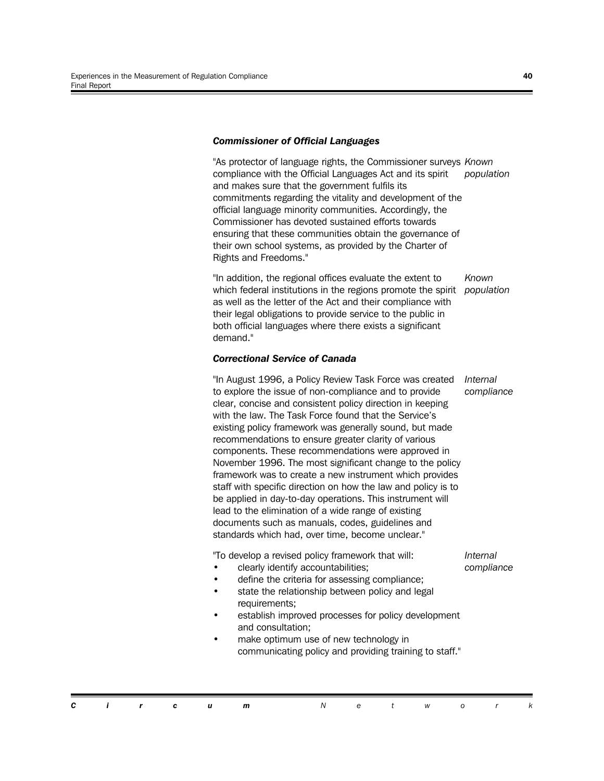#### *Commissioner of Official Languages*

"As protector of language rights, the Commissioner surveys *Known* compliance with the Official Languages Act and its spirit and makes sure that the government fulfils its commitments regarding the vitality and development of the official language minority communities. Accordingly, the Commissioner has devoted sustained efforts towards ensuring that these communities obtain the governance of their own school systems, as provided by the Charter of Rights and Freedoms." *population*

"In addition, the regional offices evaluate the extent to which federal institutions in the regions promote the spirit *population* as well as the letter of the Act and their compliance with their legal obligations to provide service to the public in both official languages where there exists a significant demand." *Known*

#### *Correctional Service of Canada*

"In August 1996, a Policy Review Task Force was created to explore the issue of non-compliance and to provide clear, concise and consistent policy direction in keeping with the law. The Task Force found that the Service's existing policy framework was generally sound, but made recommendations to ensure greater clarity of various components. These recommendations were approved in November 1996. The most significant change to the policy framework was to create a new instrument which provides staff with specific direction on how the law and policy is to be applied in day-to-day operations. This instrument will lead to the elimination of a wide range of existing documents such as manuals, codes, guidelines and standards which had, over time, become unclear." *Internal compliance*

"To develop a revised policy framework that will:

*Internal compliance*

- clearly identify accountabilities; define the criteria for assessing compliance;
- state the relationship between policy and legal requirements;
- establish improved processes for policy development and consultation;
- make optimum use of new technology in communicating policy and providing training to staff."

*Circum Networ k*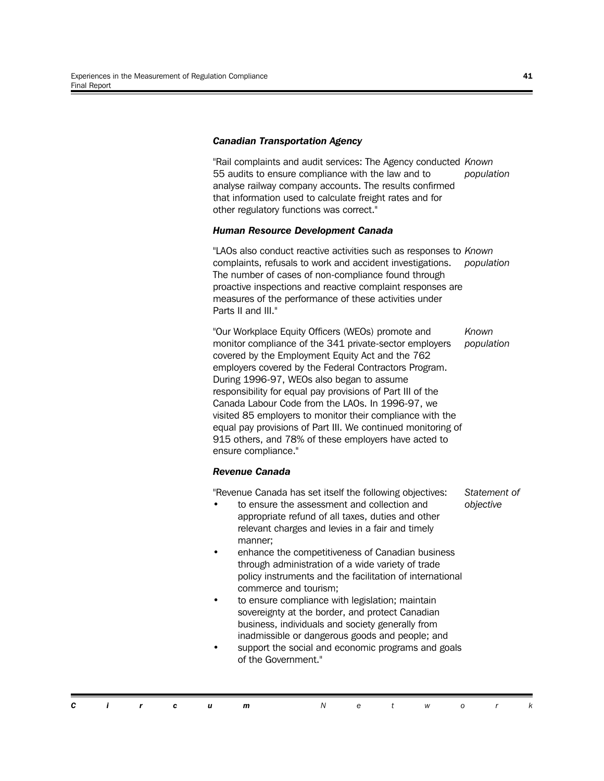#### *Canadian Transportation Agency*

"Rail complaints and audit services: The Agency conducted *Known* 55 audits to ensure compliance with the law and to analyse railway company accounts. The results confirmed that information used to calculate freight rates and for other regulatory functions was correct." *population*

#### *Human Resource Development Canada*

"LAOs also conduct reactive activities such as responses to *Known* complaints, refusals to work and accident investigations. The number of cases of non-compliance found through proactive inspections and reactive complaint responses are measures of the performance of these activities under Parts II and III." *population*

"Our Workplace Equity Officers (WEOs) promote and monitor compliance of the 341 private-sector employers covered by the Employment Equity Act and the 762 employers covered by the Federal Contractors Program. During 1996-97, WEOs also began to assume responsibility for equal pay provisions of Part III of the Canada Labour Code from the LAOs. In 1996-97, we visited 85 employers to monitor their compliance with the equal pay provisions of Part III. We continued monitoring of 915 others, and 78% of these employers have acted to ensure compliance." *Known population*

#### *Revenue Canada*

"Revenue Canada has set itself the following objectives:

- to ensure the assessment and collection and appropriate refund of all taxes, duties and other relevant charges and levies in a fair and timely manner;
- enhance the competitiveness of Canadian business through administration of a wide variety of trade policy instruments and the facilitation of international commerce and tourism;
- to ensure compliance with legislation; maintain sovereignty at the border, and protect Canadian business, individuals and society generally from inadmissible or dangerous goods and people; and
- support the social and economic programs and goals of the Government."

|  |  |  | <b>Circum</b> Network |  |  |  |
|--|--|--|-----------------------|--|--|--|

*Statement of objective*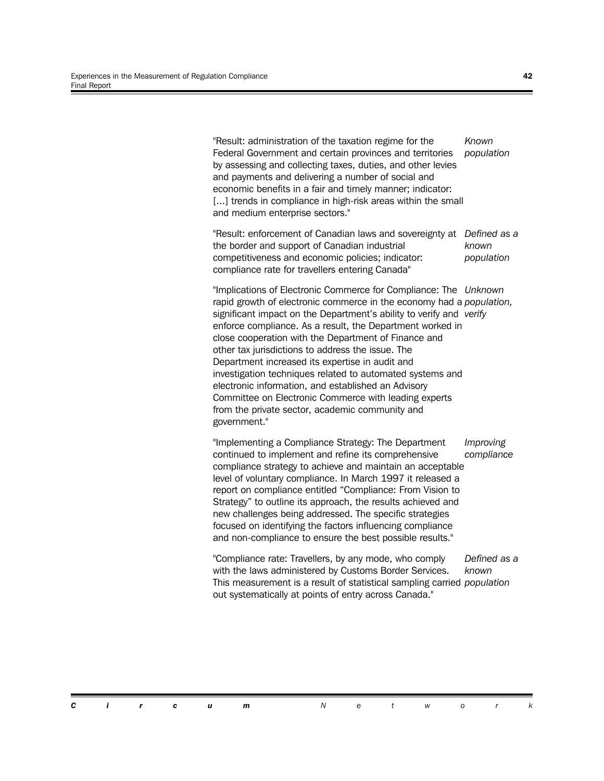"Result: administration of the taxation regime for the Federal Government and certain provinces and territories by assessing and collecting taxes, duties, and other levies and payments and delivering a number of social and economic benefits in a fair and timely manner; indicator: [...] trends in compliance in high-risk areas within the small and medium enterprise sectors." *Known population*

"Result: enforcement of Canadian laws and sovereignty at *Defined as a* the border and support of Canadian industrial competitiveness and economic policies; indicator: compliance rate for travellers entering Canada" *known population*

"Implications of Electronic Commerce for Compliance: The *Unknown* rapid growth of electronic commerce in the economy had a *population,* significant impact on the Department's ability to verify and *verify* enforce compliance. As a result, the Department worked in close cooperation with the Department of Finance and other tax jurisdictions to address the issue. The Department increased its expertise in audit and investigation techniques related to automated systems and electronic information, and established an Advisory Committee on Electronic Commerce with leading experts from the private sector, academic community and government."

"Implementing a Compliance Strategy: The Department continued to implement and refine its comprehensive compliance strategy to achieve and maintain an acceptable level of voluntary compliance. In March 1997 it released a report on compliance entitled "Compliance: From Vision to Strategy" to outline its approach, the results achieved and new challenges being addressed. The specific strategies focused on identifying the factors influencing compliance and non-compliance to ensure the best possible results." *Improving compliance*

"Compliance rate: Travellers, by any mode, who comply with the laws administered by Customs Border Services. This measurement is a result of statistical sampling carried *population*out systematically at points of entry across Canada." *Defined as a known*

*Circum Networ k*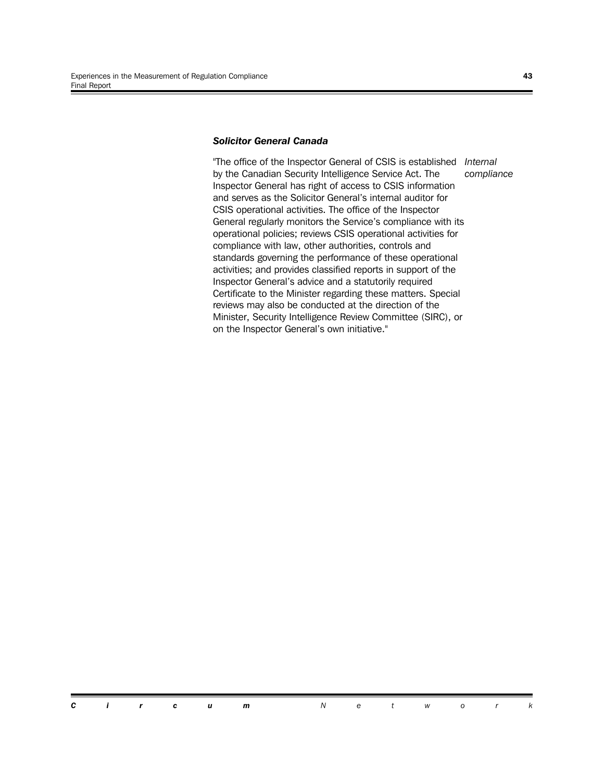#### *Solicitor General Canada*

"The office of the Inspector General of CSIS is established *Internal* by the Canadian Security Intelligence Service Act. The Inspector General has right of access to CSIS information and serves as the Solicitor General's internal auditor for CSIS operational activities. The office of the Inspector General regularly monitors the Service's compliance with its operational policies; reviews CSIS operational activities for compliance with law, other authorities, controls and standards governing the performance of these operational activities; and provides classified reports in support of the Inspector General's advice and a statutorily required Certificate to the Minister regarding these matters. Special reviews may also be conducted at the direction of the Minister, Security Intelligence Review Committee (SIRC), or on the Inspector General's own initiative." *compliance*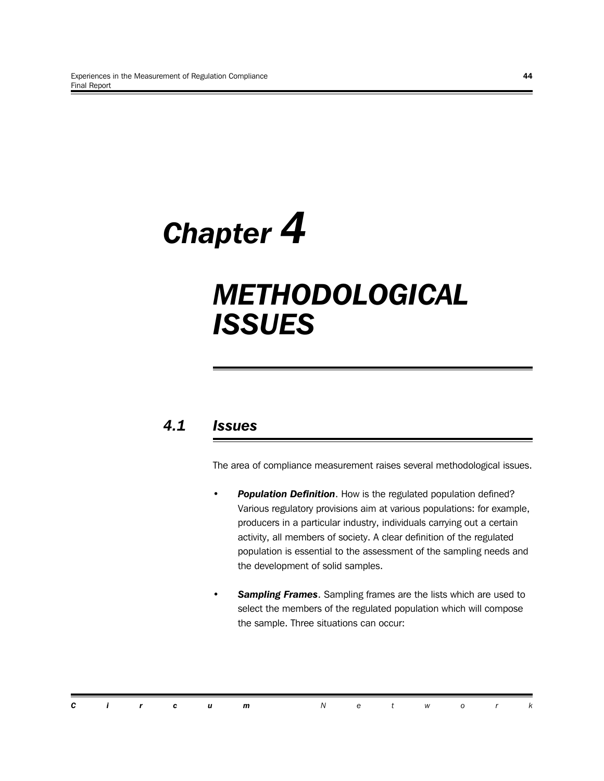# *Chapter 4*

## *METHODOLOGICAL ISSUES*

## *4.1 Issues*

The area of compliance measurement raises several methodological issues.

- **Population Definition**. How is the regulated population defined? Various regulatory provisions aim at various populations: for example, producers in a particular industry, individuals carrying out a certain activity, all members of society. A clear definition of the regulated population is essential to the assessment of the sampling needs and the development of solid samples.
- **Sampling Frames.** Sampling frames are the lists which are used to select the members of the regulated population which will compose the sample. Three situations can occur:

|  |  |  | <b>Circum</b> Network |  |  |  |
|--|--|--|-----------------------|--|--|--|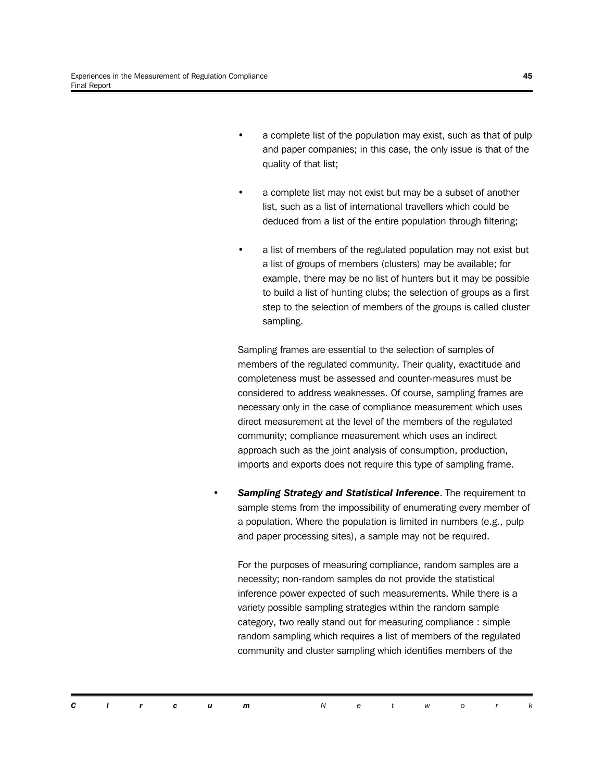- a complete list of the population may exist, such as that of pulp and paper companies; in this case, the only issue is that of the quality of that list;
- a complete list may not exist but may be a subset of another list, such as a list of international travellers which could be deduced from a list of the entire population through filtering;
- a list of members of the regulated population may not exist but a list of groups of members (clusters) may be available; for example, there may be no list of hunters but it may be possible to build a list of hunting clubs; the selection of groups as a first step to the selection of members of the groups is called cluster sampling.

Sampling frames are essential to the selection of samples of members of the regulated community. Their quality, exactitude and completeness must be assessed and counter-measures must be considered to address weaknesses. Of course, sampling frames are necessary only in the case of compliance measurement which uses direct measurement at the level of the members of the regulated community; compliance measurement which uses an indirect approach such as the joint analysis of consumption, production, imports and exports does not require this type of sampling frame.

**Sampling Strategy and Statistical Inference**. The requirement to sample stems from the impossibility of enumerating every member of a population. Where the population is limited in numbers (e.g., pulp and paper processing sites), a sample may not be required.

For the purposes of measuring compliance, random samples are a necessity; non-random samples do not provide the statistical inference power expected of such measurements. While there is a variety possible sampling strategies within the random sample category, two really stand out for measuring compliance : simple random sampling which requires a list of members of the regulated community and cluster sampling which identifies members of the

*Circum Networ k*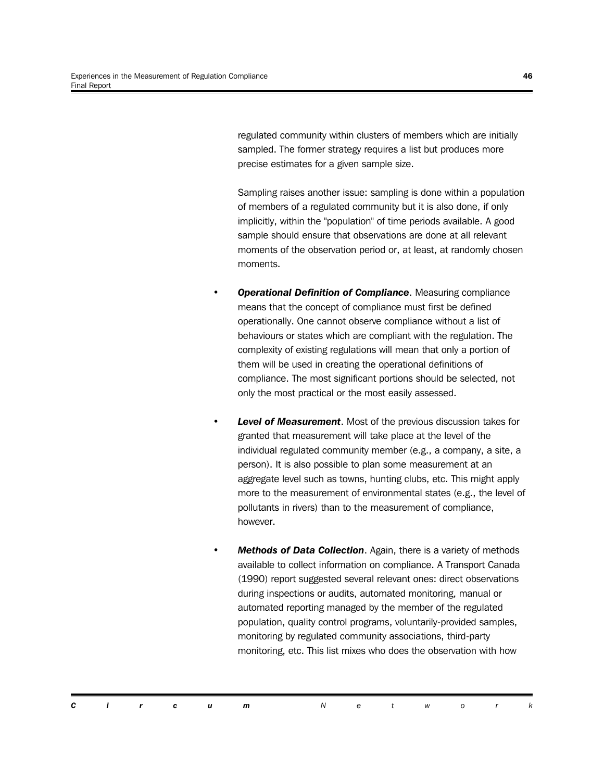regulated community within clusters of members which are initially sampled. The former strategy requires a list but produces more precise estimates for a given sample size.

Sampling raises another issue: sampling is done within a population of members of a regulated community but it is also done, if only implicitly, within the "population" of time periods available. A good sample should ensure that observations are done at all relevant moments of the observation period or, at least, at randomly chosen moments.

- *Operational Definition of Compliance*. Measuring compliance means that the concept of compliance must first be defined operationally. One cannot observe compliance without a list of behaviours or states which are compliant with the regulation. The complexity of existing regulations will mean that only a portion of them will be used in creating the operational definitions of compliance. The most significant portions should be selected, not only the most practical or the most easily assessed.
- Level of Measurement. Most of the previous discussion takes for granted that measurement will take place at the level of the individual regulated community member (e.g., a company, a site, a person). It is also possible to plan some measurement at an aggregate level such as towns, hunting clubs, etc. This might apply more to the measurement of environmental states (e.g., the level of pollutants in rivers) than to the measurement of compliance, however.
- *Methods of Data Collection*. Again, there is a variety of methods available to collect information on compliance. A Transport Canada (1990) report suggested several relevant ones: direct observations during inspections or audits, automated monitoring, manual or automated reporting managed by the member of the regulated population, quality control programs, voluntarily-provided samples, monitoring by regulated community associations, third-party monitoring, etc. This list mixes who does the observation with how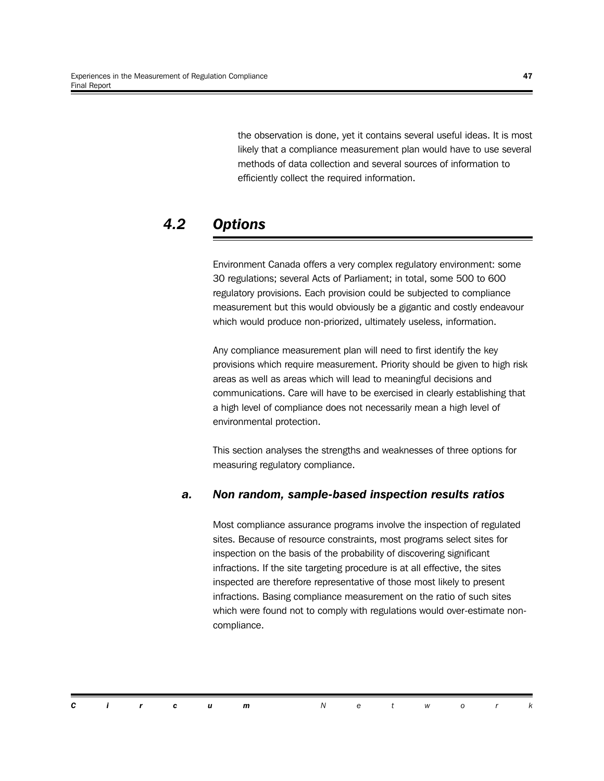the observation is done, yet it contains several useful ideas. It is most likely that a compliance measurement plan would have to use several methods of data collection and several sources of information to efficiently collect the required information.

## *4.2 Options*

Environment Canada offers a very complex regulatory environment: some 30 regulations; several Acts of Parliament; in total, some 500 to 600 regulatory provisions. Each provision could be subjected to compliance measurement but this would obviously be a gigantic and costly endeavour which would produce non-priorized, ultimately useless, information.

Any compliance measurement plan will need to first identify the key provisions which require measurement. Priority should be given to high risk areas as well as areas which will lead to meaningful decisions and communications. Care will have to be exercised in clearly establishing that a high level of compliance does not necessarily mean a high level of environmental protection.

This section analyses the strengths and weaknesses of three options for measuring regulatory compliance.

#### *a. Non random, sample-based inspection results ratios*

Most compliance assurance programs involve the inspection of regulated sites. Because of resource constraints, most programs select sites for inspection on the basis of the probability of discovering significant infractions. If the site targeting procedure is at all effective, the sites inspected are therefore representative of those most likely to present infractions. Basing compliance measurement on the ratio of such sites which were found not to comply with regulations would over-estimate noncompliance.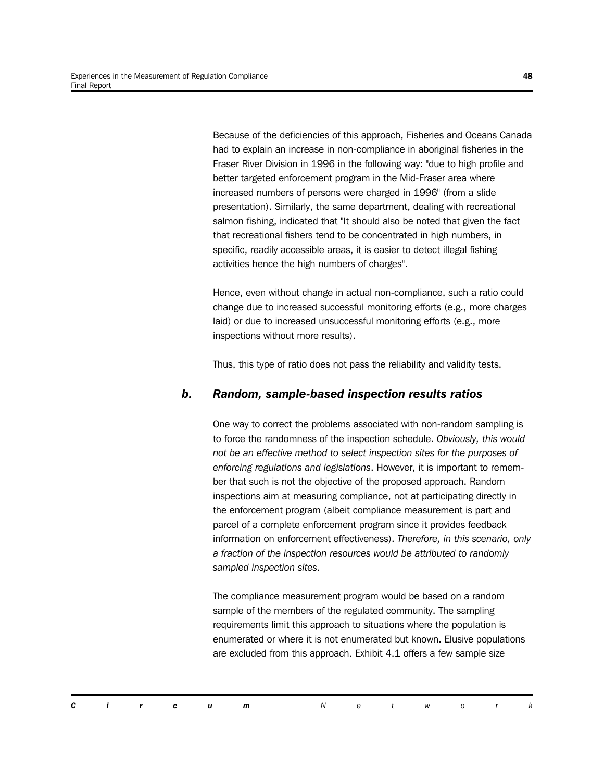Because of the deficiencies of this approach, Fisheries and Oceans Canada had to explain an increase in non-compliance in aboriginal fisheries in the Fraser River Division in 1996 in the following way: "due to high profile and better targeted enforcement program in the Mid-Fraser area where increased numbers of persons were charged in 1996" (from a slide presentation). Similarly, the same department, dealing with recreational salmon fishing, indicated that "It should also be noted that given the fact that recreational fishers tend to be concentrated in high numbers, in specific, readily accessible areas, it is easier to detect illegal fishing activities hence the high numbers of charges".

Hence, even without change in actual non-compliance, such a ratio could change due to increased successful monitoring efforts (e.g., more charges laid) or due to increased unsuccessful monitoring efforts (e.g., more inspections without more results).

Thus, this type of ratio does not pass the reliability and validity tests.

#### *b. Random, sample-based inspection results ratios*

One way to correct the problems associated with non-random sampling is to force the randomness of the inspection schedule. *Obviously, this would not be an effective method to select inspection sites for the purposes of enforcing regulations and legislations*. However, it is important to remember that such is not the objective of the proposed approach. Random inspections aim at measuring compliance, not at participating directly in the enforcement program (albeit compliance measurement is part and parcel of a complete enforcement program since it provides feedback information on enforcement effectiveness). *Therefore, in this scenario, only a fraction of the inspection resources would be attributed to randomly sampled inspection sites*.

The compliance measurement program would be based on a random sample of the members of the regulated community. The sampling requirements limit this approach to situations where the population is enumerated or where it is not enumerated but known. Elusive populations are excluded from this approach. Exhibit 4.1 offers a few sample size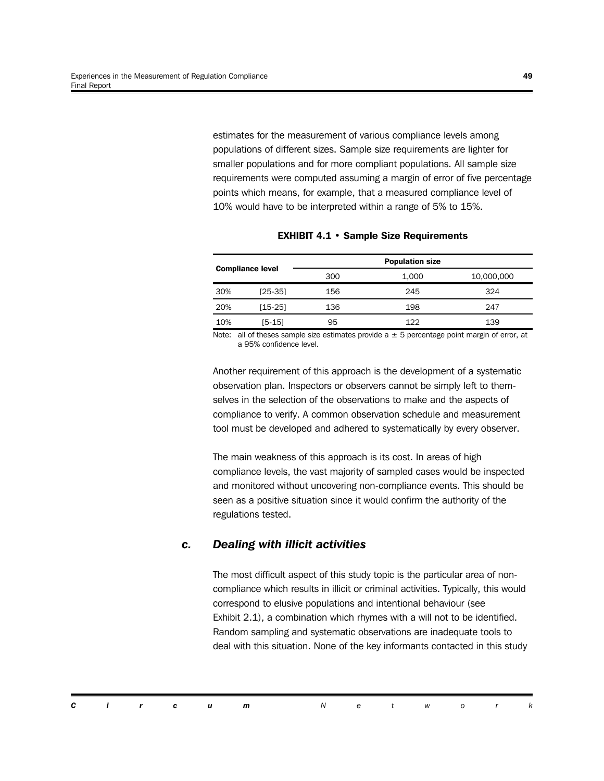estimates for the measurement of various compliance levels among populations of different sizes. Sample size requirements are lighter for smaller populations and for more compliant populations. All sample size requirements were computed assuming a margin of error of five percentage points which means, for example, that a measured compliance level of 10% would have to be interpreted within a range of 5% to 15%.

| <b>Compliance level</b> |           |     | <b>Population size</b> |            |
|-------------------------|-----------|-----|------------------------|------------|
|                         |           | 300 | 1.000                  | 10,000,000 |
| 30%                     | $[25-35]$ | 156 | 245                    | 324        |
| 20%                     | $[15-25]$ | 136 | 198                    | 247        |
| 10%                     | I5-151    | 95  | 122                    | 139        |

#### **EXHIBIT 4.1 • Sample Size Requirements**

Note: all of theses sample size estimates provide  $a \pm 5$  percentage point margin of error, at a 95% confidence level.

Another requirement of this approach is the development of a systematic observation plan. Inspectors or observers cannot be simply left to themselves in the selection of the observations to make and the aspects of compliance to verify. A common observation schedule and measurement tool must be developed and adhered to systematically by every observer.

The main weakness of this approach is its cost. In areas of high compliance levels, the vast majority of sampled cases would be inspected and monitored without uncovering non-compliance events. This should be seen as a positive situation since it would confirm the authority of the regulations tested.

#### *c. Dealing with illicit activities*

The most difficult aspect of this study topic is the particular area of noncompliance which results in illicit or criminal activities. Typically, this would correspond to elusive populations and intentional behaviour (see Exhibit 2.1), a combination which rhymes with a will not to be identified. Random sampling and systematic observations are inadequate tools to deal with this situation. None of the key informants contacted in this study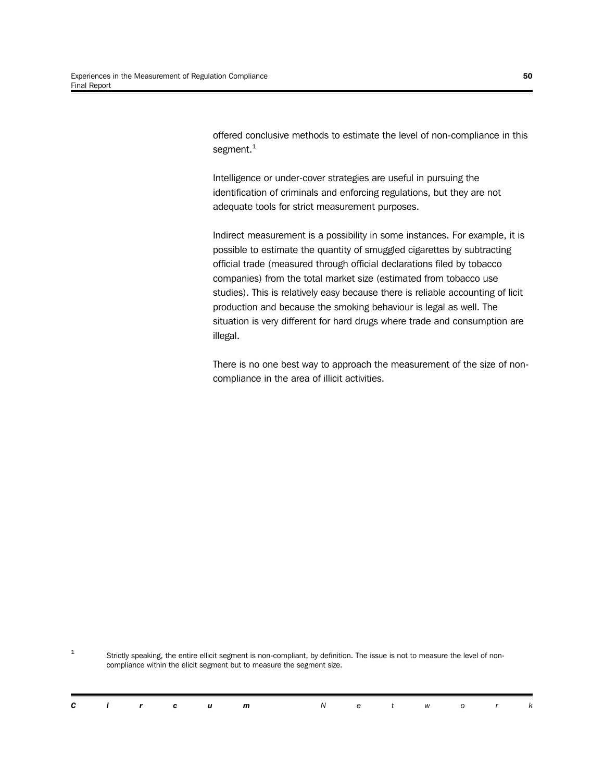offered conclusive methods to estimate the level of non-compliance in this segment. $1$ 

Intelligence or under-cover strategies are useful in pursuing the identification of criminals and enforcing regulations, but they are not adequate tools for strict measurement purposes.

Indirect measurement is a possibility in some instances. For example, it is possible to estimate the quantity of smuggled cigarettes by subtracting official trade (measured through official declarations filed by tobacco companies) from the total market size (estimated from tobacco use studies). This is relatively easy because there is reliable accounting of licit production and because the smoking behaviour is legal as well. The situation is very different for hard drugs where trade and consumption are illegal.

There is no one best way to approach the measurement of the size of noncompliance in the area of illicit activities.

1 Strictly speaking, the entire ellicit segment is non-compliant, by definition. The issue is not to measure the level of noncompliance within the elicit segment but to measure the segment size.

| ir cum<br>et wor |  |
|------------------|--|
|------------------|--|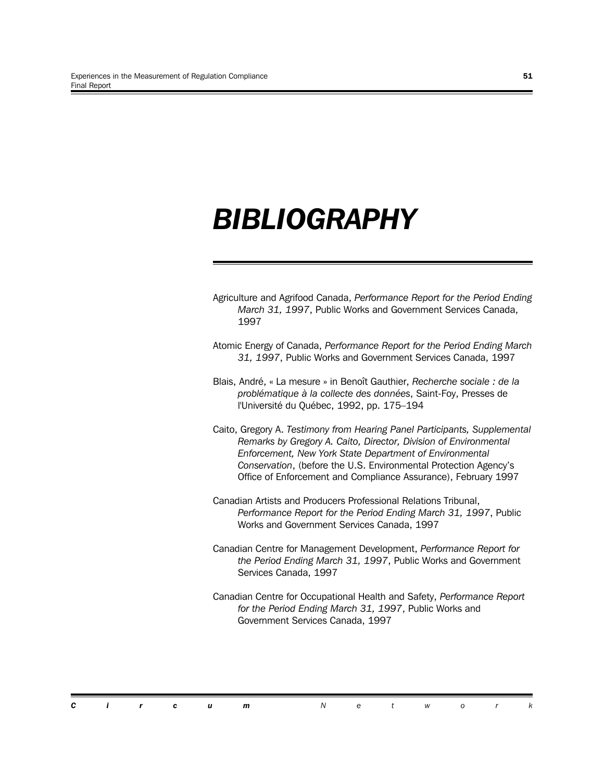## *BIBLIOGRAPHY*

- Agriculture and Agrifood Canada, *Performance Report for the Period Ending March 31, 1997*, Public Works and Government Services Canada, 1997
- Atomic Energy of Canada, *Performance Report for the Period Ending March 31, 1997*, Public Works and Government Services Canada, 1997
- Blais, André, « La mesure » in Benoît Gauthier, *Recherche sociale : de la problématique à la collecte des données*, Saint-Foy, Presses de l'Université du Québec, 1992, pp. 175–194
- Caito, Gregory A. *Testimony from Hearing Panel Participants, Supplemental Remarks by Gregory A. Caito, Director, Division of Environmental Enforcement, New York State Department of Environmental Conservation*, (before the U.S. Environmental Protection Agency's Office of Enforcement and Compliance Assurance), February 1997
- Canadian Artists and Producers Professional Relations Tribunal, *Performance Report for the Period Ending March 31, 1997*, Public Works and Government Services Canada, 1997
- Canadian Centre for Management Development, *Performance Report for the Period Ending March 31, 1997*, Public Works and Government Services Canada, 1997
- Canadian Centre for Occupational Health and Safety, *Performance Report for the Period Ending March 31, 1997*, Public Works and Government Services Canada, 1997

| . . | ⌒ |  |  |  | m |  |  |  |  |  |  |  |
|-----|---|--|--|--|---|--|--|--|--|--|--|--|
|-----|---|--|--|--|---|--|--|--|--|--|--|--|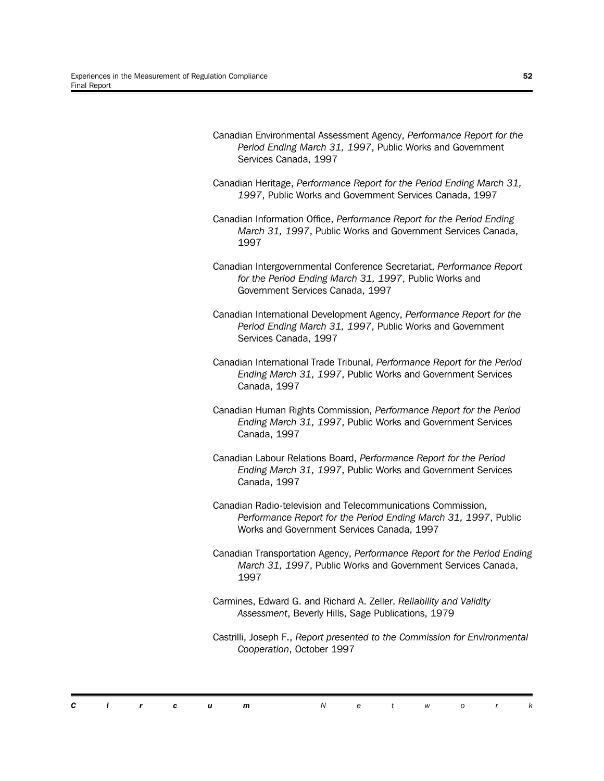Canadian Environmental Assessment Agency, *Performance Report for the Period Ending March 31, 1997*, Public Works and Government Services Canada, 1997 Canadian Heritage, *Performance Report for the Period Ending March 31, 1997*, Public Works and Government Services Canada, 1997 Canadian Information Office, *Performance Report for the Period Ending March 31, 1997*, Public Works and Government Services Canada, 1997 Canadian Intergovernmental Conference Secretariat, *Performance Report for the Period Ending March 31, 1997*, Public Works and Government Services Canada, 1997 Canadian International Development Agency, *Performance Report for the Period Ending March 31, 1997*, Public Works and Government Services Canada, 1997 Canadian International Trade Tribunal, *Performance Report for the Period Ending March 31, 1997*, Public Works and Government Services Canada, 1997 Canadian Human Rights Commission, *Performance Report for the Period Ending March 31, 1997*, Public Works and Government Services Canada, 1997 Canadian Labour Relations Board, *Performance Report for the Period Ending March 31, 1997*, Public Works and Government Services Canada, 1997 Canadian Radio-television and Telecommunications Commission, *Performance Report for the Period Ending March 31, 1997*, Public Works and Government Services Canada, 1997 Canadian Transportation Agency, *Performance Report for the Period Ending March 31, 1997*, Public Works and Government Services Canada, 1997 Carmines, Edward G. and Richard A. Zeller. *Reliability and Validity Assessment*, Beverly Hills, Sage Publications, 1979 Castrilli, Joseph F., *Report presented to the Commission for Environmental Cooperation*, October 1997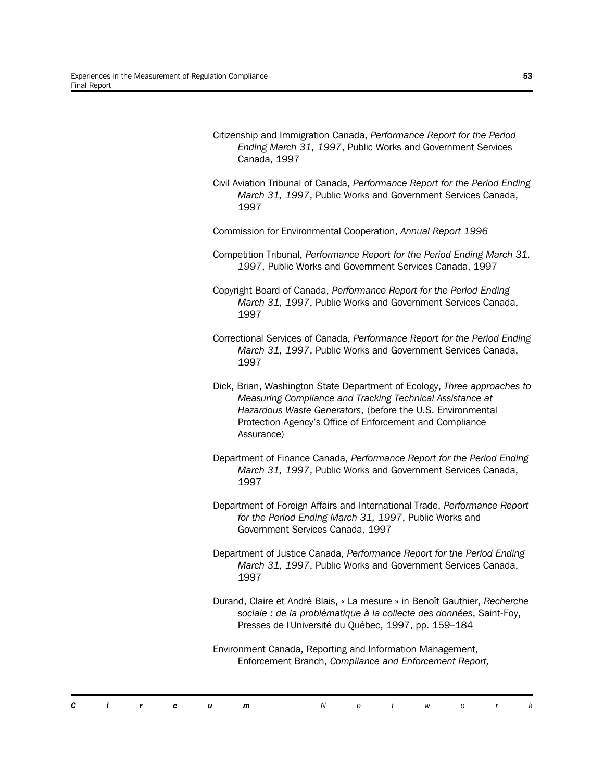*Ending March 31, 1997*, Public Works and Government Services Canada, 1997 Civil Aviation Tribunal of Canada, *Performance Report for the Period Ending March 31, 1997*, Public Works and Government Services Canada, 1997 Commission for Environmental Cooperation, *Annual Report 1996* Competition Tribunal, *Performance Report for the Period Ending March 31, 1997*, Public Works and Government Services Canada, 1997 Copyright Board of Canada, *Performance Report for the Period Ending March 31, 1997*, Public Works and Government Services Canada, 1997 Correctional Services of Canada, *Performance Report for the Period Ending March 31, 1997*, Public Works and Government Services Canada, 1997 Dick, Brian, Washington State Department of Ecology, *Three approaches to Measuring Compliance and Tracking Technical Assistance at Hazardous Waste Generators*, (before the U.S. Environmental Protection Agency's Office of Enforcement and Compliance Assurance) Department of Finance Canada, *Performance Report for the Period Ending March 31, 1997*, Public Works and Government Services Canada, 1997 Department of Foreign Affairs and International Trade, *Performance Report for the Period Ending March 31, 1997*, Public Works and Government Services Canada, 1997 Department of Justice Canada, *Performance Report for the Period Ending March 31, 1997*, Public Works and Government Services Canada, 1997 Durand, Claire et André Blais, « La mesure » in Benoît Gauthier, *Recherche sociale : de la problématique à la collecte des données*, Saint-Foy, Presses de l'Université du Québec, 1997, pp. 159–184 Environment Canada, Reporting and Information Management,

Citizenship and Immigration Canada, *Performance Report for the Period*

| sociale: de la problematique à la collecte des données, Saint-Foy, |
|--------------------------------------------------------------------|
| Presses de l'Université du Québec, 1997, pp. 159–184               |

Enforcement Branch, *Compliance and Enforcement Report,*

|  |  | <b>Circum</b> Network |  |  |  |  |
|--|--|-----------------------|--|--|--|--|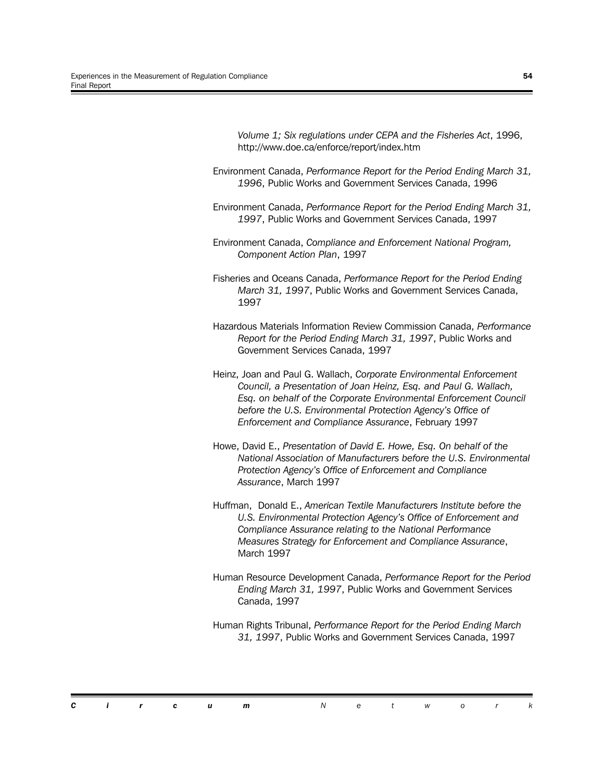*Volume 1; Six regulations under CEPA and the Fisheries Act*, 1996, http://www.doe.ca/enforce/report/index.htm Environment Canada, *Performance Report for the Period Ending March 31, 1996*, Public Works and Government Services Canada, 1996 Environment Canada, *Performance Report for the Period Ending March 31, 1997*, Public Works and Government Services Canada, 1997 Environment Canada, *Compliance and Enforcement National Program, Component Action Plan*, 1997 Fisheries and Oceans Canada, *Performance Report for the Period Ending March 31, 1997*, Public Works and Government Services Canada, 1997 Hazardous Materials Information Review Commission Canada, *Performance Report for the Period Ending March 31, 1997*, Public Works and Government Services Canada, 1997 Heinz, Joan and Paul G. Wallach, *Corporate Environmental Enforcement Council, a Presentation of Joan Heinz, Esq. and Paul G. Wallach, Esq. on behalf of the Corporate Environmental Enforcement Council before the U.S. Environmental Protection Agency's Office of Enforcement and Compliance Assurance*, February 1997 Howe, David E., *Presentation of David E. Howe, Esq. On behalf of the National Association of Manufacturers before the U.S. Environmental Protection Agency's Office of Enforcement and Compliance Assurance*, March 1997 Huffman, Donald E., *American Textile Manufacturers Institute before the U.S. Environmental Protection Agency's Office of Enforcement and*

*Compliance Assurance relating to the National Performance Measures Strategy for Enforcement and Compliance Assurance*, March 1997

Human Resource Development Canada, *Performance Report for the Period Ending March 31, 1997*, Public Works and Government Services Canada, 1997

Human Rights Tribunal, *Performance Report for the Period Ending March 31, 1997*, Public Works and Government Services Canada, 1997

*Circum Networ k*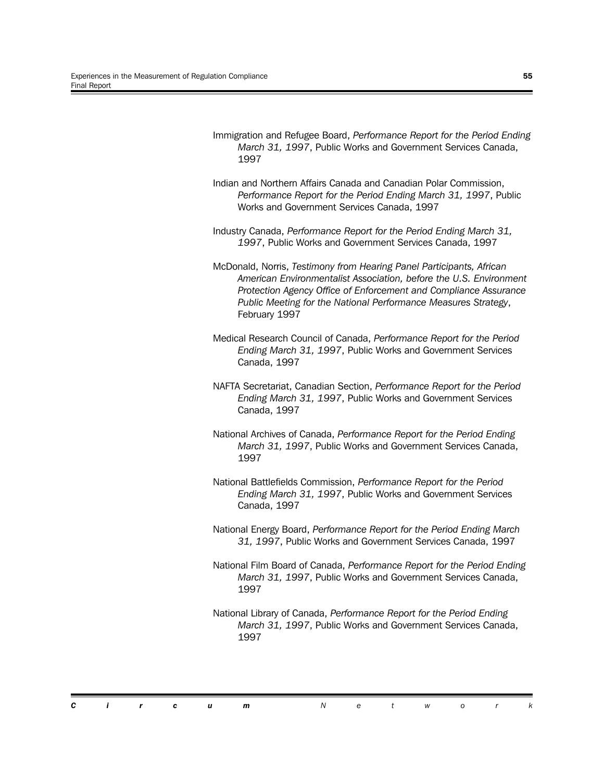- Immigration and Refugee Board, *Performance Report for the Period Ending March 31, 1997*, Public Works and Government Services Canada, 1997
- Indian and Northern Affairs Canada and Canadian Polar Commission, *Performance Report for the Period Ending March 31, 1997*, Public Works and Government Services Canada, 1997
- Industry Canada, *Performance Report for the Period Ending March 31, 1997*, Public Works and Government Services Canada, 1997
- McDonald, Norris, *Testimony from Hearing Panel Participants, African American Environmentalist Association, before the U.S. Environment Protection Agency Office of Enforcement and Compliance Assurance Public Meeting for the National Performance Measures Strategy*, February 1997
- Medical Research Council of Canada, *Performance Report for the Period Ending March 31, 1997*, Public Works and Government Services Canada, 1997
- NAFTA Secretariat, Canadian Section, *Performance Report for the Period Ending March 31, 1997*, Public Works and Government Services Canada, 1997
- National Archives of Canada, *Performance Report for the Period Ending March 31, 1997*, Public Works and Government Services Canada, 1997
- National Battlefields Commission, *Performance Report for the Period Ending March 31, 1997*, Public Works and Government Services Canada, 1997
- National Energy Board, *Performance Report for the Period Ending March 31, 1997*, Public Works and Government Services Canada, 1997
- National Film Board of Canada, *Performance Report for the Period Ending March 31, 1997*, Public Works and Government Services Canada, 1997
- National Library of Canada, *Performance Report for the Period Ending March 31, 1997*, Public Works and Government Services Canada, 1997

|  |  | <b>Circum</b> Network |  |  |  |  |
|--|--|-----------------------|--|--|--|--|
|  |  |                       |  |  |  |  |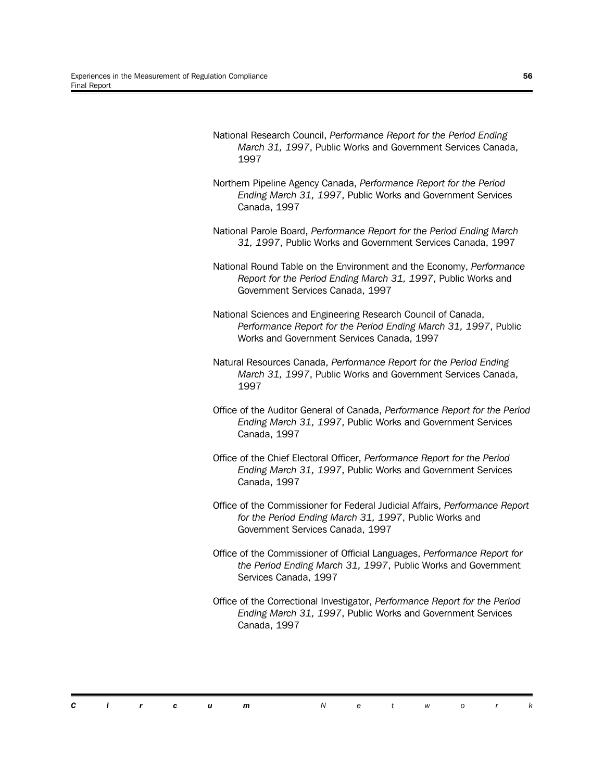- National Research Council, *Performance Report for the Period Ending March 31, 1997*, Public Works and Government Services Canada, 1997
- Northern Pipeline Agency Canada, *Performance Report for the Period Ending March 31, 1997*, Public Works and Government Services Canada, 1997
- National Parole Board, *Performance Report for the Period Ending March 31, 1997*, Public Works and Government Services Canada, 1997
- National Round Table on the Environment and the Economy, *Performance Report for the Period Ending March 31, 1997*, Public Works and Government Services Canada, 1997
- National Sciences and Engineering Research Council of Canada, *Performance Report for the Period Ending March 31, 1997*, Public Works and Government Services Canada, 1997
- Natural Resources Canada, *Performance Report for the Period Ending March 31, 1997*, Public Works and Government Services Canada, 1997
- Office of the Auditor General of Canada, *Performance Report for the Period Ending March 31, 1997*, Public Works and Government Services Canada, 1997
- Office of the Chief Electoral Officer, *Performance Report for the Period Ending March 31, 1997*, Public Works and Government Services Canada, 1997
- Office of the Commissioner for Federal Judicial Affairs, *Performance Report for the Period Ending March 31, 1997*, Public Works and Government Services Canada, 1997
- Office of the Commissioner of Official Languages, *Performance Report for the Period Ending March 31, 1997*, Public Works and Government Services Canada, 1997
- Office of the Correctional Investigator, *Performance Report for the Period Ending March 31, 1997*, Public Works and Government Services Canada, 1997

|  | $C$ i r c u |  | N e t w o r |  |  |  |
|--|-------------|--|-------------|--|--|--|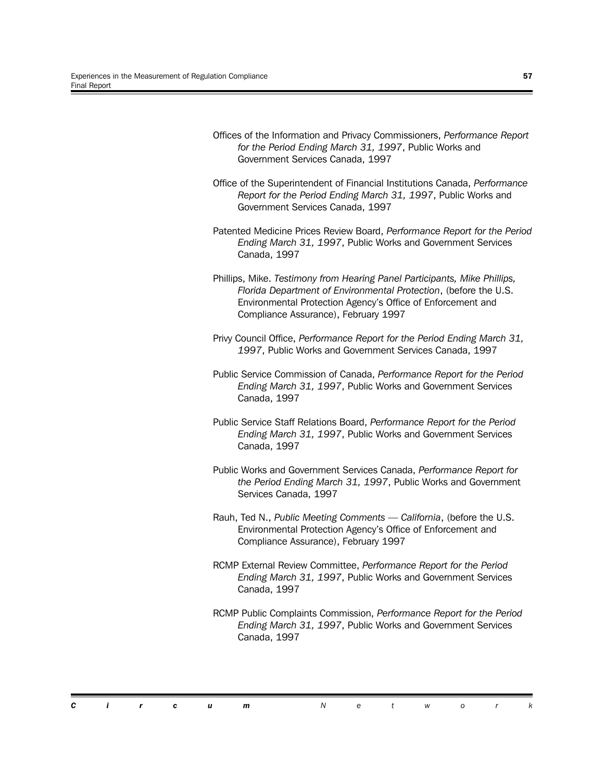| Offices of the Information and Privacy Commissioners, Performance Report<br>for the Period Ending March 31, 1997, Public Works and<br>Government Services Canada, 1997                                                                               |
|------------------------------------------------------------------------------------------------------------------------------------------------------------------------------------------------------------------------------------------------------|
| Office of the Superintendent of Financial Institutions Canada, Performance<br>Report for the Period Ending March 31, 1997, Public Works and<br>Government Services Canada, 1997                                                                      |
| Patented Medicine Prices Review Board, Performance Report for the Period<br>Ending March 31, 1997, Public Works and Government Services<br>Canada, 1997                                                                                              |
| Phillips, Mike. Testimony from Hearing Panel Participants, Mike Phillips,<br>Florida Department of Environmental Protection, (before the U.S.<br>Environmental Protection Agency's Office of Enforcement and<br>Compliance Assurance), February 1997 |
| Privy Council Office, Performance Report for the Period Ending March 31,<br>1997, Public Works and Government Services Canada, 1997                                                                                                                  |
| Public Service Commission of Canada, Performance Report for the Period<br>Ending March 31, 1997, Public Works and Government Services<br>Canada, 1997                                                                                                |
| Public Service Staff Relations Board, Performance Report for the Period<br>Ending March 31, 1997, Public Works and Government Services<br>Canada, 1997                                                                                               |
| Public Works and Government Services Canada, Performance Report for<br>the Period Ending March 31, 1997, Public Works and Government<br>Services Canada, 1997                                                                                        |
| Rauh, Ted N., Public Meeting Comments - California, (before the U.S.<br>Environmental Protection Agency's Office of Enforcement and<br>Compliance Assurance), February 1997                                                                          |
| RCMP External Review Committee, Performance Report for the Period<br>Ending March 31, 1997, Public Works and Government Services<br>Canada, 1997                                                                                                     |
| RCMP Public Complaints Commission, Performance Report for the Period<br>Ending March 31, 1997, Public Works and Government Services<br>Canada, 1997                                                                                                  |

*Circum Networ k*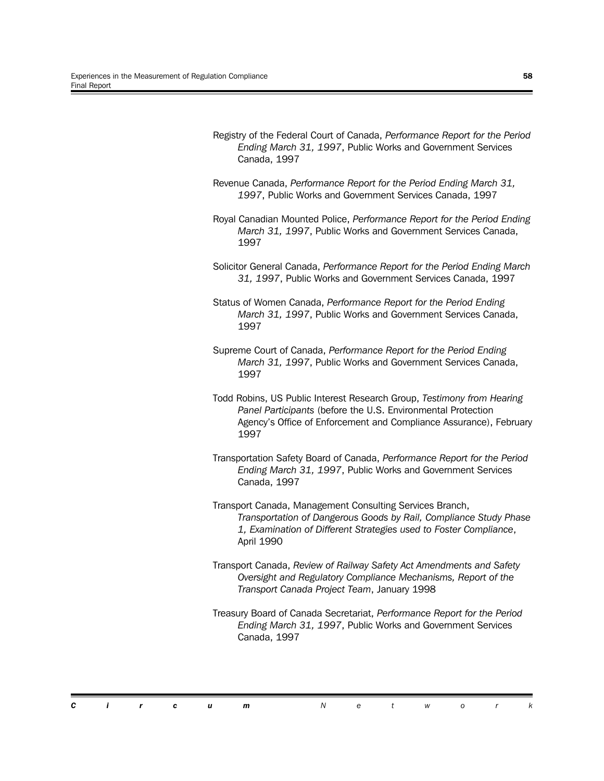Registry of the Federal Court of Canada, *Performance Report for the Period Ending March 31, 1997*, Public Works and Government Services Canada, 1997 Revenue Canada, *Performance Report for the Period Ending March 31, 1997*, Public Works and Government Services Canada, 1997 Royal Canadian Mounted Police, *Performance Report for the Period Ending March 31, 1997*, Public Works and Government Services Canada, 1997 Solicitor General Canada, *Performance Report for the Period Ending March 31, 1997*, Public Works and Government Services Canada, 1997 Status of Women Canada, *Performance Report for the Period Ending March 31, 1997*, Public Works and Government Services Canada, 1997 Supreme Court of Canada, *Performance Report for the Period Ending March 31, 1997*, Public Works and Government Services Canada, 1997 Todd Robins, US Public Interest Research Group, *Testimony from Hearing Panel Participants* (before the U.S. Environmental Protection Agency's Office of Enforcement and Compliance Assurance), February 1997 Transportation Safety Board of Canada, *Performance Report for the Period Ending March 31, 1997*, Public Works and Government Services Canada, 1997 Transport Canada, Management Consulting Services Branch, *Transportation of Dangerous Goods by Rail, Compliance Study Phase 1, Examination of Different Strategies used to Foster Compliance*, April 1990 Transport Canada, *Review of Railway Safety Act Amendments and Safety Oversight and Regulatory Compliance Mechanisms, Report of the Transport Canada Project Team*, January 1998 Treasury Board of Canada Secretariat, *Performance Report for the Period Ending March 31, 1997*, Public Works and Government Services Canada, 1997